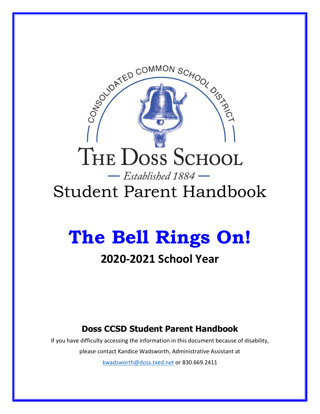# THE DOSS SCHOOL  $-$  Established 1884  $-$

SEASON BOOMMON SCHOOL OF THIS

# <span id="page-0-0"></span>Student Parent Handbook

# <span id="page-0-2"></span><span id="page-0-1"></span>**The Bell Rings On!**

# **2020-2021 School Year**

# **Doss CCSD Student Parent Handbook**

<span id="page-0-3"></span>If you have difficulty accessing the information in this document because of disability, please contact Kandice Wadsworth, Administrative Assistant at [kwadsworth@doss.txed.net](mailto:kwadsworth@doss.txed.net) or 830.669.2411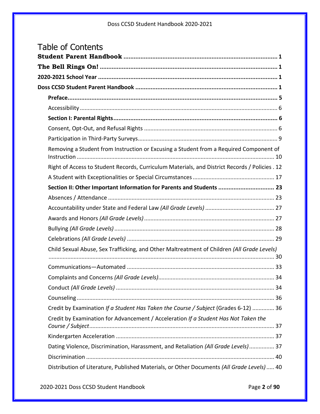| <b>Table of Contents</b> |                                                                                                |    |  |
|--------------------------|------------------------------------------------------------------------------------------------|----|--|
|                          |                                                                                                |    |  |
|                          |                                                                                                |    |  |
|                          |                                                                                                |    |  |
|                          |                                                                                                |    |  |
|                          |                                                                                                |    |  |
|                          |                                                                                                |    |  |
|                          |                                                                                                |    |  |
|                          |                                                                                                |    |  |
|                          |                                                                                                |    |  |
|                          | Removing a Student from Instruction or Excusing a Student from a Required Component of         |    |  |
|                          | Right of Access to Student Records, Curriculum Materials, and District Records / Policies . 12 |    |  |
|                          |                                                                                                |    |  |
|                          | Section II: Other Important Information for Parents and Students  23                           |    |  |
|                          |                                                                                                |    |  |
|                          |                                                                                                |    |  |
|                          |                                                                                                |    |  |
|                          |                                                                                                |    |  |
|                          |                                                                                                |    |  |
|                          | Child Sexual Abuse, Sex Trafficking, and Other Maltreatment of Children (All Grade Levels)     |    |  |
|                          |                                                                                                |    |  |
|                          |                                                                                                | 34 |  |
|                          |                                                                                                |    |  |
|                          |                                                                                                |    |  |
|                          | Credit by Examination If a Student Has Taken the Course / Subject (Grades 6-12)  36            |    |  |
|                          | Credit by Examination for Advancement / Acceleration If a Student Has Not Taken the            |    |  |
|                          |                                                                                                |    |  |
|                          | Dating Violence, Discrimination, Harassment, and Retaliation (All Grade Levels) 37             |    |  |
|                          |                                                                                                |    |  |
|                          | Distribution of Literature, Published Materials, or Other Documents (All Grade Levels)  40     |    |  |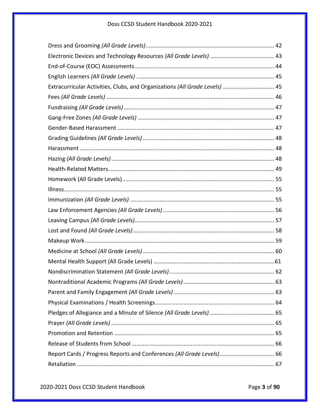| Extracurricular Activities, Clubs, and Organizations (All Grade Levels)  45 |  |
|-----------------------------------------------------------------------------|--|
|                                                                             |  |
|                                                                             |  |
|                                                                             |  |
|                                                                             |  |
|                                                                             |  |
|                                                                             |  |
|                                                                             |  |
|                                                                             |  |
|                                                                             |  |
|                                                                             |  |
|                                                                             |  |
|                                                                             |  |
|                                                                             |  |
|                                                                             |  |
|                                                                             |  |
|                                                                             |  |
|                                                                             |  |
|                                                                             |  |
|                                                                             |  |
|                                                                             |  |
|                                                                             |  |
|                                                                             |  |
|                                                                             |  |
|                                                                             |  |
|                                                                             |  |
| Report Cards / Progress Reports and Conferences (All Grade Levels) 66       |  |
|                                                                             |  |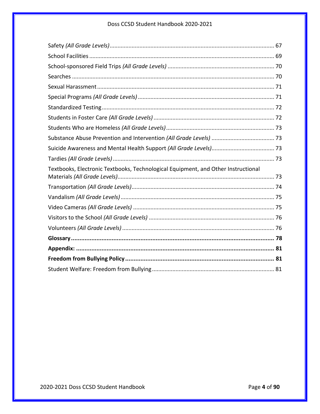| Textbooks, Electronic Textbooks, Technological Equipment, and Other Instructional |  |  |
|-----------------------------------------------------------------------------------|--|--|
|                                                                                   |  |  |
|                                                                                   |  |  |
|                                                                                   |  |  |
|                                                                                   |  |  |
|                                                                                   |  |  |
|                                                                                   |  |  |
|                                                                                   |  |  |
|                                                                                   |  |  |
|                                                                                   |  |  |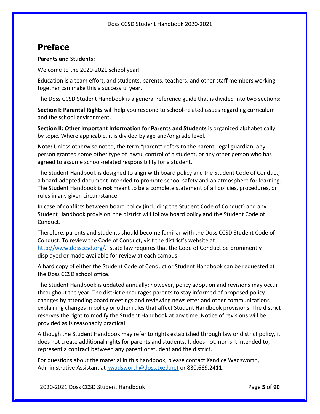# <span id="page-4-0"></span>**Preface**

#### **Parents and Students:**

Welcome to the 2020-2021 school year!

Education is a team effort, and students, parents, teachers, and other staff members working together can make this a successful year.

The Doss CCSD Student Handbook is a general reference guide that is divided into two sections:

**Section I: Parental Rights** will help you respond to school-related issues regarding curriculum and the school environment.

**Section II: Other Important Information for Parents and Students** is organized alphabetically by topic. Where applicable, it is divided by age and/or grade level.

**Note:** Unless otherwise noted, the term "parent" refers to the parent, legal guardian, any person granted some other type of lawful control of a student, or any other person who has agreed to assume school-related responsibility for a student.

The Student Handbook is designed to align with board policy and the Student Code of Conduct, a board-adopted document intended to promote school safety and an atmosphere for learning. The Student Handbook is **not** meant to be a complete statement of all policies, procedures, or rules in any given circumstance.

In case of conflicts between board policy (including the Student Code of Conduct) and any Student Handbook provision, the district will follow board policy and the Student Code of Conduct.

Therefore, parents and students should become familiar with the Doss CCSD Student Code of Conduct. To review the Code of Conduct, visit the district's website at [http://www.dossccsd.org/.](http://www.dossccsd.org/) State law requires that the Code of Conduct be prominently displayed or made available for review at each campus.

A hard copy of either the Student Code of Conduct or Student Handbook can be requested at the Doss CCSD school office.

The Student Handbook is updated annually; however, policy adoption and revisions may occur throughout the year. The district encourages parents to stay informed of proposed policy changes by attending board meetings and reviewing newsletter and other communications explaining changes in policy or other rules that affect Student Handbook provisions. The district reserves the right to modify the Student Handbook at any time. Notice of revisions will be provided as is reasonably practical.

Although the Student Handbook may refer to rights established through law or district policy, it does not create additional rights for parents and students. It does not, nor is it intended to, represent a contract between any parent or student and the district.

For questions about the material in this handbook, please contact Kandice Wadsworth, Administrative Assistant at [kwadsworth@doss.txed.net](mailto:kwadsworth@doss.txed.net) or 830.669.2411.

2020-2021 Doss CCSD Student Handbook Page **5** of **90**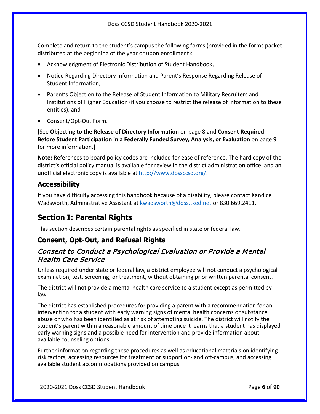Complete and return to the student's campus the following forms (provided in the forms packet distributed at the beginning of the year or upon enrollment):

- Acknowledgment of Electronic Distribution of Student Handbook,
- Notice Regarding Directory Information and Parent's Response Regarding Release of Student Information,
- Parent's Objection to the Release of Student Information to Military Recruiters and Institutions of Higher Education (if you choose to restrict the release of information to these entities), and
- Consent/Opt-Out Form.

[See **Objecting to the Release of Directory Information** on page [8](#page-7-0) and **Consent Required Before Student Participation in a Federally Funded Survey, Analysis, or Evaluation** on page [9](#page-8-1) for more information.]

**Note:** References to board policy codes are included for ease of reference. The hard copy of the district's official policy manual is available for review in the district administration office, and an unofficial electronic copy is available at [http://www.dossccsd.org/.](http://www.dossccsd.org/)

### <span id="page-5-0"></span>**Accessibility**

If you have difficulty accessing this handbook because of a disability, please contact Kandice Wadsworth, Administrative Assistant at [kwadsworth@doss.txed.net](mailto:kwadsworth@doss.txed.net) or 830.669.2411.

# <span id="page-5-1"></span>**Section I: Parental Rights**

This section describes certain parental rights as specified in state or federal law.

### <span id="page-5-2"></span>**Consent, Opt-Out, and Refusal Rights**

## Consent to Conduct a Psychological Evaluation or Provide a Mental Health Care Service

Unless required under state or federal law, a district employee will not conduct a psychological examination, test, screening, or treatment, without obtaining prior written parental consent.

The district will not provide a mental health care service to a student except as permitted by law.

The district has established procedures for providing a parent with a recommendation for an intervention for a student with early warning signs of mental health concerns or substance abuse or who has been identified as at risk of attempting suicide. The district will notify the student's parent within a reasonable amount of time once it learns that a student has displayed early warning signs and a possible need for intervention and provide information about available counseling options.

Further information regarding these procedures as well as educational materials on identifying risk factors, accessing resources for treatment or support on- and off-campus, and accessing available student accommodations provided on campus.

2020-2021 Doss CCSD Student Handbook Page **6** of **90**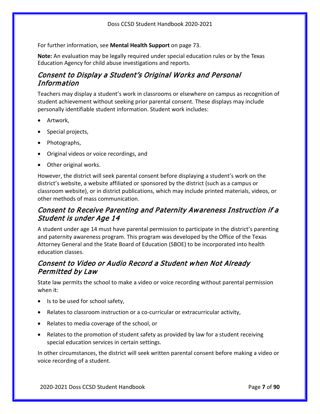For further information, see **Mental Health Support** on page [73.](#page-72-2)

**Note:** An evaluation may be legally required under special education rules or by the Texas Education Agency for child abuse investigations and reports.

# Consent to Display a Student's Original Works and Personal Information

Teachers may display a student's work in classrooms or elsewhere on campus as recognition of student achievement without seeking prior parental consent. These displays may include personally identifiable student information. Student work includes:

- Artwork,
- Special projects,
- Photographs,
- Original videos or voice recordings, and
- Other original works.

However, the district will seek parental consent before displaying a student's work on the district's website, a website affiliated or sponsored by the district (such as a campus or classroom website), or in district publications, which may include printed materials, videos, or other methods of mass communication.

# Consent to Receive Parenting and Paternity Awareness Instruction if a Student is under Age 14

A student under age 14 must have parental permission to participate in the district's parenting and paternity awareness program. This program was developed by the Office of the Texas Attorney General and the State Board of Education (SBOE) to be incorporated into health education classes.

# Consent to Video or Audio Record a Student when Not Already Permitted by Law

State law permits the school to make a video or voice recording without parental permission when it:

- Is to be used for school safety,
- Relates to classroom instruction or a co-curricular or extracurricular activity,
- Relates to media coverage of the school, or
- Relates to the promotion of student safety as provided by law for a student receiving special education services in certain settings.

In other circumstances, the district will seek written parental consent before making a video or voice recording of a student.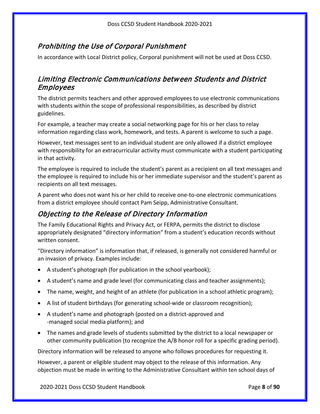# Prohibiting the Use of Corporal Punishment

In accordance with Local District policy, Corporal punishment will not be used at Doss CCSD.

# Limiting Electronic Communications between Students and District Employees

The district permits teachers and other approved employees to use electronic communications with students within the scope of professional responsibilities, as described by district guidelines.

For example, a teacher may create a social networking page for his or her class to relay information regarding class work, homework, and tests. A parent is welcome to such a page.

However, text messages sent to an individual student are only allowed if a district employee with responsibility for an extracurricular activity must communicate with a student participating in that activity.

The employee is required to include the student's parent as a recipient on all text messages and the employee is required to include his or her immediate supervisor and the student's parent as recipients on all text messages.

A parent who does not want his or her child to receive one-to-one electronic communications from a district employee should contact Pam Seipp, Administrative Consultant.

# <span id="page-7-0"></span>Objecting to the Release of Directory Information

The Family Educational Rights and Privacy Act, or FERPA, permits the district to disclose appropriately designated "directory information" from a student's education records without written consent.

"Directory information" is information that, if released, is generally not considered harmful or an invasion of privacy. Examples include:

- A student's photograph (for publication in the school yearbook);
- A student's name and grade level (for communicating class and teacher assignments);
- The name, weight, and height of an athlete (for publication in a school athletic program);
- A list of student birthdays (for generating school-wide or classroom recognition);
- A student's name and photograph (posted on a district-approved and -managed social media platform); and
- The names and grade levels of students submitted by the district to a local newspaper or other community publication (to recognize the A/B honor roll for a specific grading period).

Directory information will be released to anyone who follows procedures for requesting it.

However, a parent or eligible student may object to the release of this information. Any objection must be made in writing to the Administrative Consultant within ten school days of

2020-2021 Doss CCSD Student Handbook Page **8** of **90**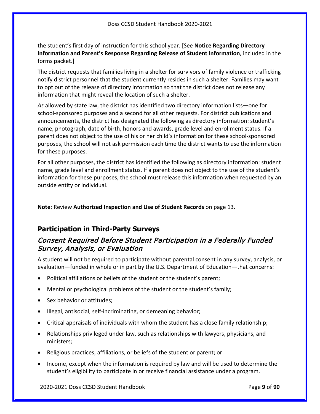the student's first day of instruction for this school year*.* [See **Notice Regarding Directory Information and Parent's Response Regarding Release of Student Information**, included in the forms packet.]

The district requests that families living in a shelter for survivors of family violence or trafficking notify district personnel that the student currently resides in such a shelter. Families may want to opt out of the release of directory information so that the district does not release any information that might reveal the location of such a shelter.

*As* allowed by state law, the district has identified two directory information lists—one for school-sponsored purposes and a second for all other requests. For district publications and announcements, the district has designated the following as directory information: student's name, photograph, date of birth, honors and awards, grade level and enrollment status. If a parent does not object to the use of his or her child's information for these school-sponsored purposes, the school will not ask permission each time the district wants to use the information for these purposes.

For all other purposes, the district has identified the following as directory information: student name, grade level and enrollment status. If a parent does not object to the use of the student's information for these purposes, the school must release this information when requested by an outside entity or individual.

**Note**: Review **Authorized Inspection and Use of Student Records** on page [13.](#page-12-0)

### <span id="page-8-0"></span>**Participation in Third-Party Surveys**

## <span id="page-8-1"></span>Consent Required Before Student Participation in a Federally Funded Survey, Analysis, or Evaluation

A student will not be required to participate without parental consent in any survey, analysis, or evaluation—funded in whole or in part by the U.S. Department of Education—that concerns:

- Political affiliations or beliefs of the student or the student's parent;
- Mental or psychological problems of the student or the student's family;
- Sex behavior or attitudes;
- Illegal, antisocial, self-incriminating, or demeaning behavior;
- Critical appraisals of individuals with whom the student has a close family relationship;
- Relationships privileged under law, such as relationships with lawyers, physicians, and ministers;
- Religious practices, affiliations, or beliefs of the student or parent; or
- Income, except when the information is required by law and will be used to determine the student's eligibility to participate in or receive financial assistance under a program.

2020-2021 Doss CCSD Student Handbook Page **9** of **90**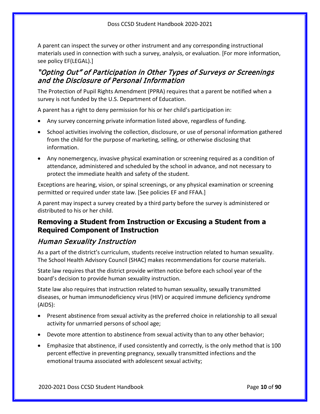A parent can inspect the survey or other instrument and any corresponding instructional materials used in connection with such a survey, analysis, or evaluation. [For more information, see policy EF(LEGAL).]

# "Opting Out" of Participation in Other Types of Surveys or Screenings and the Disclosure of Personal Information

The Protection of Pupil Rights Amendment (PPRA) requires that a parent be notified when a survey is not funded by the U.S. Department of Education.

A parent has a right to deny permission for his or her child's participation in:

- Any survey concerning private information listed above, regardless of funding.
- School activities involving the collection, disclosure, or use of personal information gathered from the child for the purpose of marketing, selling, or otherwise disclosing that information.
- Any nonemergency, invasive physical examination or screening required as a condition of attendance, administered and scheduled by the school in advance, and not necessary to protect the immediate health and safety of the student.

Exceptions are hearing, vision, or spinal screenings, or any physical examination or screening permitted or required under state law. [See policies EF and FFAA.]

A parent may inspect a survey created by a third party before the survey is administered or distributed to his or her child.

## <span id="page-9-0"></span>**Removing a Student from Instruction or Excusing a Student from a Required Component of Instruction**

# Human Sexuality Instruction

As a part of the district's curriculum, students receive instruction related to human sexuality. The School Health Advisory Council (SHAC) makes recommendations for course materials.

State law requires that the district provide written notice before each school year of the board's decision to provide human sexuality instruction.

State law also requires that instruction related to human sexuality, sexually transmitted diseases, or human immunodeficiency virus (HIV) or acquired immune deficiency syndrome (AIDS):

- Present abstinence from sexual activity as the preferred choice in relationship to all sexual activity for unmarried persons of school age;
- Devote more attention to abstinence from sexual activity than to any other behavior;
- Emphasize that abstinence, if used consistently and correctly, is the only method that is 100 percent effective in preventing pregnancy, sexually transmitted infections and the emotional trauma associated with adolescent sexual activity;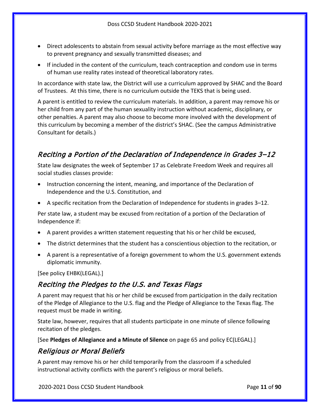- Direct adolescents to abstain from sexual activity before marriage as the most effective way to prevent pregnancy and sexually transmitted diseases; and
- If included in the content of the curriculum, teach contraception and condom use in terms of human use reality rates instead of theoretical laboratory rates.

In accordance with state law, the District will use a curriculum approved by SHAC and the Board of Trustees. At this time, there is no curriculum outside the TEKS that is being used.

A parent is entitled to review the curriculum materials. In addition, a parent may remove his or her child from any part of the human sexuality instruction without academic, disciplinary, or other penalties. A parent may also choose to become more involved with the development of this curriculum by becoming a member of the district's SHAC. (See the campus Administrative Consultant for details.)

# Reciting a Portion of the Declaration of Independence in Grades 3–12

State law designates the week of September 17 as Celebrate Freedom Week and requires all social studies classes provide:

- Instruction concerning the intent, meaning, and importance of the Declaration of Independence and the U.S. Constitution, and
- A specific recitation from the Declaration of Independence for students in grades 3–12.

Per state law, a student may be excused from recitation of a portion of the Declaration of Independence if:

- A parent provides a written statement requesting that his or her child be excused,
- The district determines that the student has a conscientious objection to the recitation, or
- A parent is a representative of a foreign government to whom the U.S. government extends diplomatic immunity.

[See policy EHBK(LEGAL).]

# Reciting the Pledges to the U.S. and Texas Flags

A parent may request that his or her child be excused from participation in the daily recitation of the Pledge of Allegiance to the U.S. flag and the Pledge of Allegiance to the Texas flag. The request must be made in writing.

State law, however, requires that all students participate in one minute of silence following recitation of the pledges.

[See **Pledges of Allegiance and a Minute of Silence** on pag[e 65](#page-64-0) and policy EC(LEGAL).]

### Religious or Moral Beliefs

A parent may remove his or her child temporarily from the classroom if a scheduled instructional activity conflicts with the parent's religious or moral beliefs.

2020-2021 Doss CCSD Student Handbook Page **11** of **90**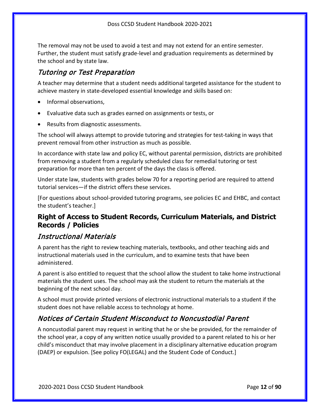The removal may not be used to avoid a test and may not extend for an entire semester. Further, the student must satisfy grade-level and graduation requirements as determined by the school and by state law.

# Tutoring or Test Preparation

A teacher may determine that a student needs additional targeted assistance for the student to achieve mastery in state-developed essential knowledge and skills based on:

- Informal observations,
- Evaluative data such as grades earned on assignments or tests, or
- Results from diagnostic assessments.

The school will always attempt to provide tutoring and strategies for test-taking in ways that prevent removal from other instruction as much as possible.

In accordance with state law and policy EC, without parental permission, districts are prohibited from removing a student from a regularly scheduled class for remedial tutoring or test preparation for more than ten percent of the days the class is offered.

Under state law, students with grades below 70 for a reporting period are required to attend tutorial services—if the district offers these services.

[For questions about school-provided tutoring programs, see policies EC and EHBC, and contact the student's teacher.]

## <span id="page-11-0"></span>**Right of Access to Student Records, Curriculum Materials, and District Records / Policies**

# Instructional Materials

A parent has the right to review teaching materials, textbooks, and other teaching aids and instructional materials used in the curriculum, and to examine tests that have been administered.

A parent is also entitled to request that the school allow the student to take home instructional materials the student uses. The school may ask the student to return the materials at the beginning of the next school day.

A school must provide printed versions of electronic instructional materials to a student if the student does not have reliable access to technology at home.

# Notices of Certain Student Misconduct to Noncustodial Parent

A noncustodial parent may request in writing that he or she be provided, for the remainder of the school year, a copy of any written notice usually provided to a parent related to his or her child's misconduct that may involve placement in a disciplinary alternative education program (DAEP) or expulsion. [See policy FO(LEGAL) and the Student Code of Conduct.]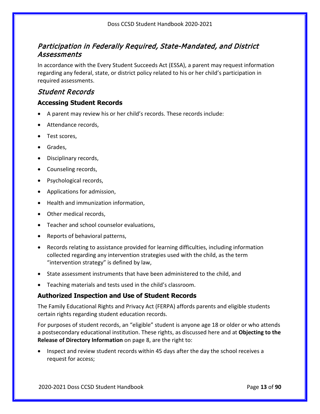# Participation in Federally Required, State-Mandated, and District Assessments

In accordance with the Every Student Succeeds Act (ESSA), a parent may request information regarding any federal, state, or district policy related to his or her child's participation in required assessments.

## Student Records

#### **Accessing Student Records**

- A parent may review his or her child's records. These records include:
- Attendance records,
- Test scores,
- Grades,
- Disciplinary records,
- Counseling records,
- Psychological records,
- Applications for admission,
- Health and immunization information,
- Other medical records,
- Teacher and school counselor evaluations,
- Reports of behavioral patterns,
- Records relating to assistance provided for learning difficulties, including information collected regarding any intervention strategies used with the child, as the term "intervention strategy" is defined by law,
- State assessment instruments that have been administered to the child, and
- Teaching materials and tests used in the child's classroom.

#### <span id="page-12-0"></span>**Authorized Inspection and Use of Student Records**

The Family Educational Rights and Privacy Act (FERPA) affords parents and eligible students certain rights regarding student education records.

For purposes of student records, an "eligible" student is anyone age 18 or older or who attends a postsecondary educational institution. These rights, as discussed here and at **Objecting to the Release of Directory Information** on page [8,](#page-7-0) are the right to:

• Inspect and review student records within 45 days after the day the school receives a request for access;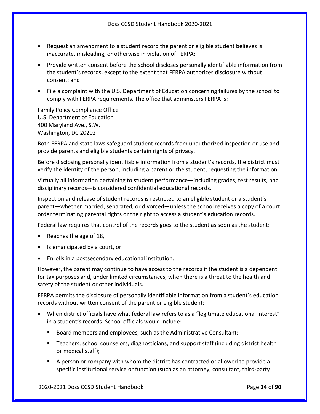- Request an amendment to a student record the parent or eligible student believes is inaccurate, misleading, or otherwise in violation of FERPA;
- Provide written consent before the school discloses personally identifiable information from the student's records, except to the extent that FERPA authorizes disclosure without consent; and
- File a complaint with the U.S. Department of Education concerning failures by the school to comply with FERPA requirements. The office that administers FERPA is:

Family Policy Compliance Office U.S. Department of Education 400 Maryland Ave., S.W. Washington, DC 20202

Both FERPA and state laws safeguard student records from unauthorized inspection or use and provide parents and eligible students certain rights of privacy.

Before disclosing personally identifiable information from a student's records, the district must verify the identity of the person, including a parent or the student, requesting the information.

Virtually all information pertaining to student performance—including grades, test results, and disciplinary records—is considered confidential educational records.

Inspection and release of student records is restricted to an eligible student or a student's parent—whether married, separated, or divorced—unless the school receives a copy of a court order terminating parental rights or the right to access a student's education records.

Federal law requires that control of the records goes to the student as soon as the student:

- Reaches the age of 18,
- Is emancipated by a court, or
- Enrolls in a postsecondary educational institution.

However, the parent may continue to have access to the records if the student is a dependent for tax purposes and, under limited circumstances, when there is a threat to the health and safety of the student or other individuals.

FERPA permits the disclosure of personally identifiable information from a student's education records without written consent of the parent or eligible student:

- When district officials have what federal law refers to as a "legitimate educational interest" in a student's records. School officials would include:
	- Board members and employees, such as the Administrative Consultant;
	- Teachers, school counselors, diagnosticians, and support staff (including district health or medical staff);
	- A person or company with whom the district has contracted or allowed to provide a specific institutional service or function (such as an attorney, consultant, third-party

2020-2021 Doss CCSD Student Handbook Page **14** of **90**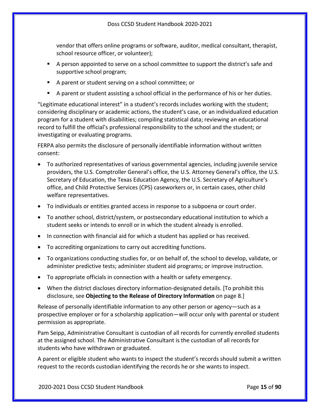vendor that offers online programs or software, auditor, medical consultant, therapist, school resource officer, or volunteer);

- A person appointed to serve on a school committee to support the district's safe and supportive school program;
- A parent or student serving on a school committee; or
- A parent or student assisting a school official in the performance of his or her duties.

"Legitimate educational interest" in a student's records includes working with the student; considering disciplinary or academic actions, the student's case, or an individualized education program for a student with disabilities; compiling statistical data; reviewing an educational record to fulfill the official's professional responsibility to the school and the student; or investigating or evaluating programs.

FERPA also permits the disclosure of personally identifiable information without written consent:

- To authorized representatives of various governmental agencies, including juvenile service providers, the U.S. Comptroller General's office, the U.S. Attorney General's office, the U.S. Secretary of Education, the Texas Education Agency, the U.S. Secretary of Agriculture's office, and Child Protective Services (CPS) caseworkers or, in certain cases, other child welfare representatives.
- To individuals or entities granted access in response to a subpoena or court order.
- To another school, district/system, or postsecondary educational institution to which a student seeks or intends to enroll or in which the student already is enrolled.
- In connection with financial aid for which a student has applied or has received.
- To accrediting organizations to carry out accrediting functions.
- To organizations conducting studies for, or on behalf of, the school to develop, validate, or administer predictive tests; administer student aid programs; or improve instruction.
- To appropriate officials in connection with a health or safety emergency.
- When the district discloses directory information-designated details. [To prohibit this disclosure, see **Objecting to the Release of Directory Information** on page [8.](#page-7-0)]

Release of personally identifiable information to any other person or agency—such as a prospective employer or for a scholarship application—will occur only with parental or student permission as appropriate.

Pam Seipp, Administrative Consultant is custodian of all records for currently enrolled students at the assigned school. The Administrative Consultant is the custodian of all records for students who have withdrawn or graduated.

A parent or eligible student who wants to inspect the student's records should submit a written request to the records custodian identifying the records he or she wants to inspect.

2020-2021 Doss CCSD Student Handbook Page **15** of **90**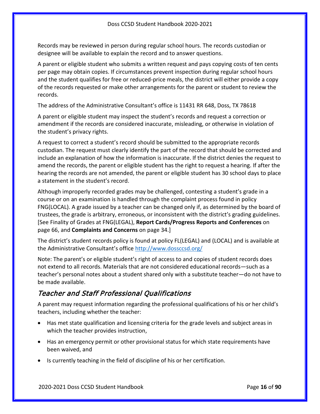Records may be reviewed in person during regular school hours. The records custodian or designee will be available to explain the record and to answer questions.

A parent or eligible student who submits a written request and pays copying costs of ten cents per page may obtain copies. If circumstances prevent inspection during regular school hours and the student qualifies for free or reduced-price meals, the district will either provide a copy of the records requested or make other arrangements for the parent or student to review the records.

The address of the Administrative Consultant's office is 11431 RR 648, Doss, TX 78618

A parent or eligible student may inspect the student's records and request a correction or amendment if the records are considered inaccurate, misleading, or otherwise in violation of the student's privacy rights.

A request to correct a student's record should be submitted to the appropriate records custodian. The request must clearly identify the part of the record that should be corrected and include an explanation of how the information is inaccurate. If the district denies the request to amend the records, the parent or eligible student has the right to request a hearing. If after the hearing the records are not amended, the parent or eligible student has 30 school days to place a statement in the student's record.

Although improperly recorded grades may be challenged, contesting a student's grade in a course or on an examination is handled through the complaint process found in policy FNG(LOCAL). A grade issued by a teacher can be changed only if, as determined by the board of trustees, the grade is arbitrary, erroneous, or inconsistent with the district's grading guidelines. [See Finality of Grades at FNG(LEGAL), **Report Cards/Progress Reports and Conferences** on page [66,](#page-65-1) and **Complaints and Concerns** on page [34.](#page-33-0)]

The district's student records policy is found at policy FL(LEGAL) and (LOCAL) and is available at the Administrative Consultant's office<http://www.dossccsd.org/>

Note: The parent's or eligible student's right of access to and copies of student records does not extend to all records. Materials that are not considered educational records—such as a teacher's personal notes about a student shared only with a substitute teacher—do not have to be made available.

# Teacher and Staff Professional Qualifications

A parent may request information regarding the professional qualifications of his or her child's teachers, including whether the teacher:

- Has met state qualification and licensing criteria for the grade levels and subject areas in which the teacher provides instruction,
- Has an emergency permit or other provisional status for which state requirements have been waived, and
- Is currently teaching in the field of discipline of his or her certification.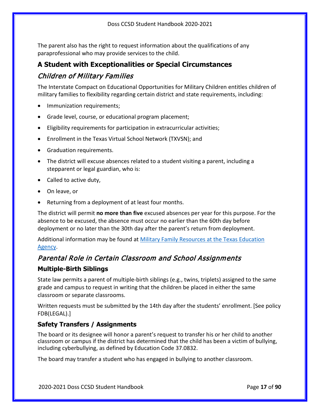The parent also has the right to request information about the qualifications of any paraprofessional who may provide services to the child.

# <span id="page-16-1"></span><span id="page-16-0"></span>**A Student with Exceptionalities or Special Circumstances** Children of Military Families

The Interstate Compact on Educational Opportunities for Military Children entitles children of military families to flexibility regarding certain district and state requirements, including:

- Immunization requirements;
- Grade level, course, or educational program placement;
- Eligibility requirements for participation in extracurricular activities;
- Enrollment in the Texas Virtual School Network (TXVSN); and
- Graduation requirements.
- The district will excuse absences related to a student visiting a parent, including a stepparent or legal guardian, who is:
- Called to active duty,
- On leave, or
- Returning from a deployment of at least four months.

The district will permit **no more than five** excused absences per year for this purpose. For the absence to be excused, the absence must occur no earlier than the 60th day before deployment or no later than the 30th day after the parent's return from deployment.

Additional information may be found at [Military Family Resources at the Texas Education](http://tea.texas.gov/index2.aspx?id=7995)  [Agency.](http://tea.texas.gov/index2.aspx?id=7995)

# Parental Role in Certain Classroom and School Assignments

#### **Multiple-Birth Siblings**

State law permits a parent of multiple-birth siblings (e.g., twins, triplets) assigned to the same grade and campus to request in writing that the children be placed in either the same classroom or separate classrooms.

Written requests must be submitted by the 14th day after the students' enrollment. [See policy FDB(LEGAL).]

#### <span id="page-16-2"></span>**Safety Transfers / Assignments**

The board or its designee will honor a parent's request to transfer his or her child to another classroom or campus if the district has determined that the child has been a victim of bullying, including cyberbullying, as defined by Education Code 37.0832.

The board may transfer a student who has engaged in bullying to another classroom.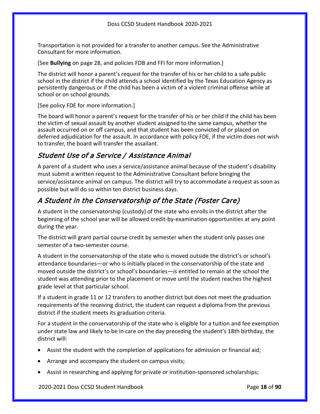Transportation is not provided for a transfer to another campus. See the Administrative Consultant for more information.

[See **Bullying** on page [28,](#page-27-0) and policies FDB and FFI for more information.]

The district will honor a parent's request for the transfer of his or her child to a safe public school in the district if the child attends a school identified by the Texas Education Agency as persistently dangerous or if the child has been a victim of a violent criminal offense while at school or on school grounds.

[See policy FDE for more information.]

The board will honor a parent's request for the transfer of his or her child if the child has been the victim of sexual assault by another student assigned to the same campus, whether the assault occurred on or off campus, and that student has been convicted of or placed on deferred adjudication for the assault. In accordance with policy FDE, if the victim does not wish to transfer, the board will transfer the assailant.

# Student Use of a Service / Assistance Animal

A parent of a student who uses a service/assistance animal because of the student's disability must submit a written request to the Administrative Consultant before bringing the service/assistance animal on campus. The district will try to accommodate a request as soon as possible but will do so within ten district business days.

# A Student in the Conservatorship of the State (Foster Care)

A student in the conservatorship (custody) of the state who enrolls in the district after the beginning of the school year will be allowed credit-by-examination opportunities at any point during the year.

The district will grant partial course credit by semester when the student only passes one semester of a two-semester course.

A student in the conservatorship of the state who is moved outside the district's or school's attendance boundaries—or who is initially placed in the conservatorship of the state and moved outside the district's or school's boundaries—is entitled to remain at the school the student was attending prior to the placement or move until the student reaches the highest grade level at that particular school.

If a student in grade 11 or 12 transfers to another district but does not meet the graduation requirements of the receiving district, the student can request a diploma from the previous district if the student meets its graduation criteria.

For a student in the conservatorship of the state who is eligible for a tuition and fee exemption under state law and likely to be in care on the day preceding the student's 18th birthday, the district will:

- Assist the student with the completion of applications for admission or financial aid;
- Arrange and accompany the student on campus visits;
- Assist in researching and applying for private or institution-sponsored scholarships;

2020-2021 Doss CCSD Student Handbook Page **18** of **90**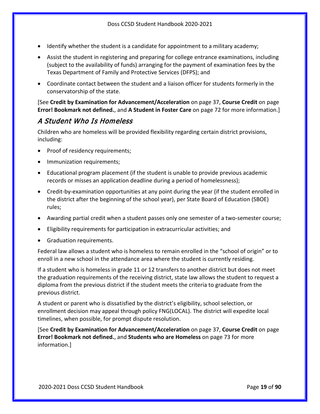- Identify whether the student is a candidate for appointment to a military academy;
- Assist the student in registering and preparing for college entrance examinations, including (subject to the availability of funds) arranging for the payment of examination fees by the Texas Department of Family and Protective Services (DFPS); and
- Coordinate contact between the student and a liaison officer for students formerly in the conservatorship of the state.

[See **Credit by Examination for Advancement/Acceleration** on page [37,](#page-36-0) **Course Credit** on page **Error! Bookmark not defined.**, and **A Student in Foster Care** on page [72](#page-71-1) for more information.]

### A Student Who Is Homeless

Children who are homeless will be provided flexibility regarding certain district provisions, including:

- Proof of residency requirements;
- Immunization requirements;
- Educational program placement (if the student is unable to provide previous academic records or misses an application deadline during a period of homelessness);
- Credit-by-examination opportunities at any point during the year (if the student enrolled in the district after the beginning of the school year), per State Board of Education (SBOE) rules;
- Awarding partial credit when a student passes only one semester of a two-semester course;
- Eligibility requirements for participation in extracurricular activities; and
- Graduation requirements.

Federal law allows a student who is homeless to remain enrolled in the "school of origin" or to enroll in a new school in the attendance area where the student is currently residing.

If a student who is homeless in grade 11 or 12 transfers to another district but does not meet the graduation requirements of the receiving district, state law allows the student to request a diploma from the previous district if the student meets the criteria to graduate from the previous district.

A student or parent who is dissatisfied by the district's eligibility, school selection, or enrollment decision may appeal through policy FNG(LOCAL). The district will expedite local timelines, when possible, for prompt dispute resolution.

[See **Credit by Examination for Advancement/Acceleration** on page [37,](#page-36-0) **Course Credit** on page **Error! Bookmark not defined.**, and **Students who are Homeless** on page [73](#page-72-0) for more information.]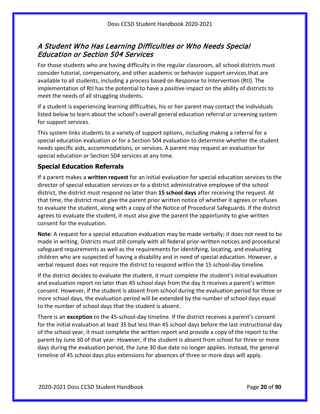# <span id="page-19-0"></span>A Student Who Has Learning Difficulties or Who Needs Special Education or Section 504 Services

For those students who are having difficulty in the regular classroom, all school districts must consider tutorial, compensatory, and other academic or behavior support services that are available to all students, including a process based on Response to Intervention (RtI). The implementation of RtI has the potential to have a positive impact on the ability of districts to meet the needs of all struggling students.

If a student is experiencing learning difficulties, his or her parent may contact the individuals listed below to learn about the school's overall general education referral or screening system for support services.

This system links students to a variety of support options, including making a referral for a special education evaluation or for a Section 504 evaluation to determine whether the student needs specific aids, accommodations, or services. A parent may request an evaluation for special education or Section 504 services at any time.

#### **Special Education Referrals**

If a parent makes a **written request** for an initial evaluation for special education services to the director of special education services or to a district administrative employee of the school district, the district must respond no later than **15 school days** after receiving the request. At that time, the district must give the parent prior written notice of whether it agrees or refuses to evaluate the student, along with a copy of the Notice of Procedural Safeguards. If the district agrees to evaluate the student, it must also give the parent the opportunity to give written consent for the evaluation.

**Note**: A request for a special education evaluation may be made verbally; it does not need to be made in writing. Districts must still comply with all federal prior-written notices and procedural safeguard requirements as well as the requirements for identifying, locating, and evaluating children who are suspected of having a disability and in need of special education. However, a verbal request does not require the district to respond within the 15 school-day timeline.

If the district decides to evaluate the student, it must complete the student's initial evaluation and evaluation report no later than 45 school days from the day it receives a parent's written consent. However, if the student is absent from school during the evaluation period for three or more school days, the evaluation period will be extended by the number of school days equal to the number of school days that the student is absent.

There is an **exception** to the 45-school-day timeline. If the district receives a parent's consent for the initial evaluation at least 35 but less than 45 school days before the last instructional day of the school year, it must complete the written report and provide a copy of the report to the parent by June 30 of that year. However, if the student is absent from school for three or more days during the evaluation period, the June 30 due date no longer applies. Instead, the general timeline of 45 school days plus extensions for absences of three or more days will apply.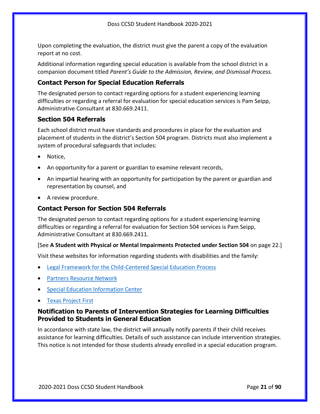Upon completing the evaluation, the district must give the parent a copy of the evaluation report at no cost.

Additional information regarding special education is available from the school district in a companion document titled *Parent's Guide to the Admission, Review, and Dismissal Process.*

#### **Contact Person for Special Education Referrals**

The designated person to contact regarding options for a student experiencing learning difficulties or regarding a referral for evaluation for special education services is Pam Seipp, Administrative Consultant at 830.669.2411.

#### **Section 504 Referrals**

Each school district must have standards and procedures in place for the evaluation and placement of students in the district's Section 504 program. Districts must also implement a system of procedural safeguards that includes:

- Notice.
- An opportunity for a parent or guardian to examine relevant records,
- An impartial hearing with an opportunity for participation by the parent or guardian and representation by counsel, and
- A review procedure.

#### **Contact Person for Section 504 Referrals**

The designated person to contact regarding options for a student experiencing learning difficulties or regarding a referral for evaluation for Section 504 services is Pam Seipp, Administrative Consultant at 830.669.2411.

#### [See **A Student with Physical or Mental Impairments Protected under Section 504** on pag[e 22.](#page-21-0)]

Visit these websites for information regarding students with disabilities and the family:

- [Legal Framework for the Child-Centered Special Education Process](http://framework.esc18.net/display/Webforms/LandingPage.aspx)
- [Partners Resource Network](http://www.partnerstx.org/)
- [Special Education Information Center](http://www.spedtex.org/)
- [Texas Project First](http://www.texasprojectfirst.org/)

#### **Notification to Parents of Intervention Strategies for Learning Difficulties Provided to Students in General Education**

In accordance with state law, the district will annually notify parents if their child receives assistance for learning difficulties. Details of such assistance can include intervention strategies. This notice is not intended for those students already enrolled in a special education program.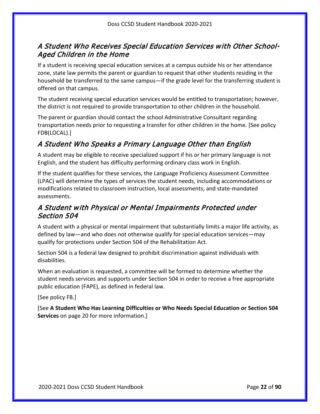# A Student Who Receives Special Education Services with Other School-Aged Children in the Home

If a student is receiving special education services at a campus outside his or her attendance zone, state law permits the parent or guardian to request that other students residing in the household be transferred to the same campus—if the grade level for the transferring student is offered on that campus.

The student receiving special education services would be entitled to transportation; however, the district is not required to provide transportation to other children in the household.

The parent or guardian should contact the school Administrative Consultant regarding transportation needs prior to requesting a transfer for other children in the home. [See policy FDB(LOCAL).]

# A Student Who Speaks a Primary Language Other than English

A student may be eligible to receive specialized support if his or her primary language is not English, and the student has difficulty performing ordinary class work in English.

If the student qualifies for these services, the Language Proficiency Assessment Committee (LPAC) will determine the types of services the student needs, including accommodations or modifications related to classroom instruction, local assessments, and state-mandated assessments.

# <span id="page-21-0"></span>A Student with Physical or Mental Impairments Protected under Section 504

A student with a physical or mental impairment that substantially limits a major life activity, as defined by law—and who does not otherwise qualify for special education services—may qualify for protections under Section 504 of the Rehabilitation Act.

Section 504 is a federal law designed to prohibit discrimination against individuals with disabilities.

When an evaluation is requested, a committee will be formed to determine whether the student needs services and supports under Section 504 in order to receive a free appropriate public education (FAPE), as defined in federal law.

[See policy FB.]

[See **A Student Who Has Learning Difficulties or Who Needs Special Education or Section 504 Services** on page [20](#page-19-0) for more information.]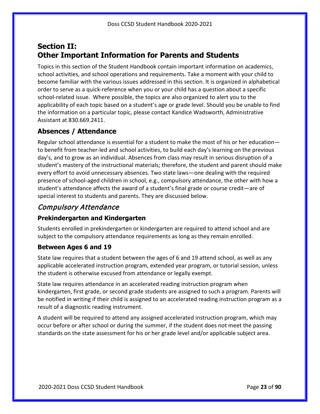# <span id="page-22-0"></span>**Section II: Other Important Information for Parents and Students**

Topics in this section of the Student Handbook contain important information on academics, school activities, and school operations and requirements. Take a moment with your child to become familiar with the various issues addressed in this section. It is organized in alphabetical order to serve as a quick-reference when you or your child has a question about a specific school-related issue. Where possible, the topics are also organized to alert you to the applicability of each topic based on a student's age or grade level. Should you be unable to find the information on a particular topic, please contact Kandice Wadsworth, Administrative Assistant at 830.669.2411.

### <span id="page-22-1"></span>**Absences / Attendance**

Regular school attendance is essential for a student to make the most of his or her education to benefit from teacher-led and school activities, to build each day's learning on the previous day's, and to grow as an individual. Absences from class may result in serious disruption of a student's mastery of the instructional materials; therefore, the student and parent should make every effort to avoid unnecessary absences. Two state laws—one dealing with the required presence of school-aged children in school, e.g., compulsory attendance, the other with how a student's attendance affects the award of a student's final grade or course credit—are of special interest to students and parents. They are discussed below.

## Compulsory Attendance

#### **Prekindergarten and Kindergarten**

Students enrolled in prekindergarten or kindergarten are required to attend school and are subject to the compulsory attendance requirements as long as they remain enrolled.

#### **Between Ages 6 and 19**

State law requires that a student between the ages of 6 and 19 attend school, as well as any applicable accelerated instruction program, extended year program, or tutorial session, unless the student is otherwise excused from attendance or legally exempt.

State law requires attendance in an accelerated reading instruction program when kindergarten, first grade, or second grade students are assigned to such a program. Parents will be notified in writing if their child is assigned to an accelerated reading instruction program as a result of a diagnostic reading instrument.

A student will be required to attend any assigned accelerated instruction program, which may occur before or after school or during the summer, if the student does not meet the passing standards on the state assessment for his or her grade level and/or applicable subject area.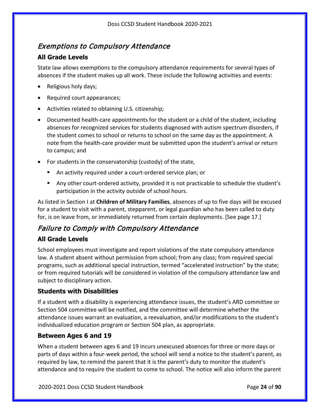# Exemptions to Compulsory Attendance

#### **All Grade Levels**

State law allows exemptions to the compulsory attendance requirements for several types of absences if the student makes up all work. These include the following activities and events:

- Religious holy days;
- Required court appearances;
- Activities related to obtaining U.S. citizenship;
- Documented health-care appointments for the student or a child of the student, including absences for recognized services for students diagnosed with autism spectrum disorders, if the student comes to school or returns to school on the same day as the appointment. A note from the health-care provider must be submitted upon the student's arrival or return to campus; and
- For students in the conservatorship (custody) of the state,
	- An activity required under a court-ordered service plan; or
	- Any other court-ordered activity, provided it is not practicable to schedule the student's participation in the activity outside of school hours.

As listed in Section I at **Children of Military Families**, absences of up to five days will be excused for a student to visit with a parent, stepparent, or legal guardian who has been called to duty for, is on leave from, or immediately returned from certain deployments. [See page [17.](#page-16-1)]

# Failure to Comply with Compulsory Attendance

### **All Grade Levels**

School employees must investigate and report violations of the state compulsory attendance law. A student absent without permission from school; from any class; from required special programs, such as additional special instruction, termed "accelerated instruction" by the state; or from required tutorials will be considered in violation of the compulsory attendance law and subject to disciplinary action.

#### **Students with Disabilities**

If a student with a disability is experiencing attendance issues, the student's ARD committee or Section 504 committee will be notified, and the committee will determine whether the attendance issues warrant an evaluation, a reevaluation, and/or modifications to the student's individualized education program or Section 504 plan, as appropriate.

#### **Between Ages 6 and 19**

When a student between ages 6 and 19 incurs unexcused absences for three or more days or parts of days within a four-week period, the school will send a notice to the student's parent, as required by law, to remind the parent that it is the parent's duty to monitor the student's attendance and to require the student to come to school. The notice will also inform the parent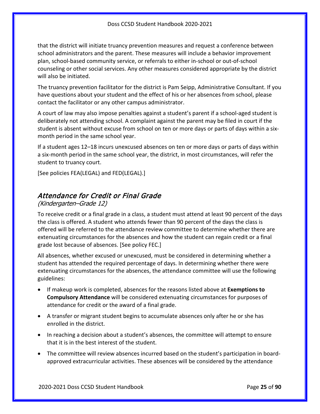that the district will initiate truancy prevention measures and request a conference between school administrators and the parent. These measures will include a behavior improvement plan, school-based community service, or referrals to either in-school or out-of-school counseling or other social services. Any other measures considered appropriate by the district will also be initiated.

The truancy prevention facilitator for the district is Pam Seipp, Administrative Consultant. If you have questions about your student and the effect of his or her absences from school, please contact the facilitator or any other campus administrator.

A court of law may also impose penalties against a student's parent if a school-aged student is deliberately not attending school. A complaint against the parent may be filed in court if the student is absent without excuse from school on ten or more days or parts of days within a sixmonth period in the same school year.

If a student ages 12–18 incurs unexcused absences on ten or more days or parts of days within a six-month period in the same school year, the district, in most circumstances, will refer the student to truancy court.

[See policies FEA(LEGAL) and FED(LEGAL).]

## Attendance for Credit or Final Grade

#### (Kindergarten–Grade 12)

To receive credit or a final grade in a class, a student must attend at least 90 percent of the days the class is offered. A student who attends fewer than 90 percent of the days the class is offered will be referred to the attendance review committee to determine whether there are extenuating circumstances for the absences and how the student can regain credit or a final grade lost because of absences. [See policy FEC.]

All absences, whether excused or unexcused, must be considered in determining whether a student has attended the required percentage of days. In determining whether there were extenuating circumstances for the absences, the attendance committee will use the following guidelines:

- If makeup work is completed, absences for the reasons listed above at **Exemptions to Compulsory Attendance** will be considered extenuating circumstances for purposes of attendance for credit or the award of a final grade.
- A transfer or migrant student begins to accumulate absences only after he or she has enrolled in the district.
- In reaching a decision about a student's absences, the committee will attempt to ensure that it is in the best interest of the student.
- The committee will review absences incurred based on the student's participation in boardapproved extracurricular activities. These absences will be considered by the attendance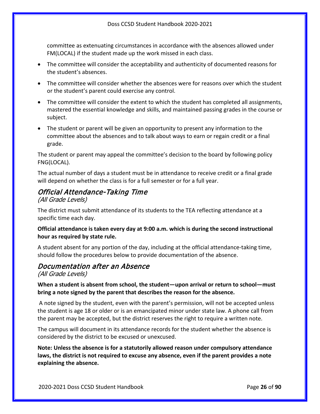committee as extenuating circumstances in accordance with the absences allowed under FM(LOCAL) if the student made up the work missed in each class.

- The committee will consider the acceptability and authenticity of documented reasons for the student's absences.
- The committee will consider whether the absences were for reasons over which the student or the student's parent could exercise any control.
- The committee will consider the extent to which the student has completed all assignments, mastered the essential knowledge and skills, and maintained passing grades in the course or subject.
- The student or parent will be given an opportunity to present any information to the committee about the absences and to talk about ways to earn or regain credit or a final grade.

The student or parent may appeal the committee's decision to the board by following policy FNG(LOCAL).

The actual number of days a student must be in attendance to receive credit or a final grade will depend on whether the class is for a full semester or for a full year.

# Official Attendance-Taking Time

#### (All Grade Levels)

The district must submit attendance of its students to the TEA reflecting attendance at a specific time each day.

#### **Official attendance is taken every day at 9:00 a.m. which is during the second instructional hour as required by state rule.**

A student absent for any portion of the day, including at the official attendance-taking time, should follow the procedures below to provide documentation of the absence.

## Documentation after an Absence

(All Grade Levels)

#### **When a student is absent from school, the student—upon arrival or return to school—must bring a note signed by the parent that describes the reason for the absence.**

A note signed by the student, even with the parent's permission, will not be accepted unless the student is age 18 or older or is an emancipated minor under state law. A phone call from the parent may be accepted, but the district reserves the right to require a written note.

The campus will document in its attendance records for the student whether the absence is considered by the district to be excused or unexcused.

**Note: Unless the absence is for a statutorily allowed reason under compulsory attendance laws, the district is not required to excuse any absence, even if the parent provides a note explaining the absence.**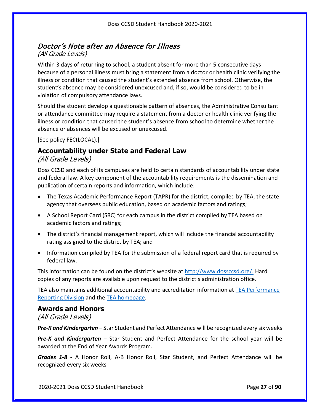## Doctor's Note after an Absence for Illness (All Grade Levels)

Within 3 days of returning to school, a student absent for more than 5 consecutive days because of a personal illness must bring a statement from a doctor or health clinic verifying the illness or condition that caused the student's extended absence from school. Otherwise, the student's absence may be considered unexcused and, if so, would be considered to be in violation of compulsory attendance laws.

Should the student develop a questionable pattern of absences, the Administrative Consultant or attendance committee may require a statement from a doctor or health clinic verifying the illness or condition that caused the student's absence from school to determine whether the absence or absences will be excused or unexcused.

[See policy FEC(LOCAL).]

# <span id="page-26-0"></span>**Accountability under State and Federal Law**

(All Grade Levels)

Doss CCSD and each of its campuses are held to certain standards of accountability under state and federal law. A key component of the accountability requirements is the dissemination and publication of certain reports and information, which include:

- The Texas Academic Performance Report (TAPR) for the district, compiled by TEA, the state agency that oversees public education, based on academic factors and ratings;
- A School Report Card (SRC) for each campus in the district compiled by TEA based on academic factors and ratings;
- The district's financial management report, which will include the financial accountability rating assigned to the district by TEA; and
- Information compiled by TEA for the submission of a federal report card that is required by federal law.

This information can be found on the district's website at [http://www.dossccsd.org/.](http://www.dossccsd.org/) Hard copies of any reports are available upon request to the district's administration office.

TEA also maintains additional accountability and accreditation information at [TEA Performance](http://www.tea.texas.gov/perfreport/)  [Reporting Division](http://www.tea.texas.gov/perfreport/) and the [TEA homepage.](http://www.tea.texas.gov/)

#### <span id="page-26-1"></span>**Awards and Honors**

(All Grade Levels)

*Pre-K and Kindergarten* – Star Student and Perfect Attendance will be recognized every six weeks

*Pre-K and Kindergarten* – Star Student and Perfect Attendance for the school year will be awarded at the End of Year Awards Program.

*Grades 1-8* - A Honor Roll, A-B Honor Roll, Star Student, and Perfect Attendance will be recognized every six weeks

2020-2021 Doss CCSD Student Handbook Page **27** of **90**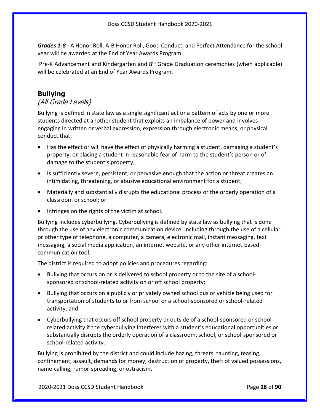*Grades 1-8* - A Honor Roll, A-B Honor Roll, Good Conduct, and Perfect Attendance for the school year will be awarded at the End of Year Awards Program.

Pre-K Advancement and Kindergarten and 8<sup>th</sup> Grade Graduation ceremonies (when applicable) will be celebrated at an End of Year Awards Program.

## <span id="page-27-0"></span>**Bullying**

#### (All Grade Levels)

Bullying is defined in state law as a single significant act or a pattern of acts by one or more students directed at another student that exploits an imbalance of power and involves engaging in written or verbal expression, expression through electronic means, or physical conduct that:

- Has the effect or will have the effect of physically harming a student, damaging a student's property, or placing a student in reasonable fear of harm to the student's person or of damage to the student's property;
- Is sufficiently severe, persistent, or pervasive enough that the action or threat creates an intimidating, threatening, or abusive educational environment for a student;
- Materially and substantially disrupts the educational process or the orderly operation of a classroom or school; or
- Infringes on the rights of the victim at school.

Bullying includes cyberbullying. Cyberbullying is defined by state law as bullying that is done through the use of any electronic communication device, including through the use of a cellular or other type of telephone, a computer, a camera, electronic mail, instant messaging, text messaging, a social media application, an internet website, or any other internet-based communication tool.

The district is required to adopt policies and procedures regarding:

- Bullying that occurs on or is delivered to school property or to the site of a schoolsponsored or school-related activity on or off school property;
- Bullying that occurs on a publicly or privately owned school bus or vehicle being used for transportation of students to or from school or a school-sponsored or school-related activity; and
- Cyberbullying that occurs off school property or outside of a school-sponsored or schoolrelated activity if the cyberbullying interferes with a student's educational opportunities or substantially disrupts the orderly operation of a classroom, school, or school-sponsored or school-related activity.

Bullying is prohibited by the district and could include hazing, threats, taunting, teasing, confinement, assault, demands for money, destruction of property, theft of valued possessions, name-calling, rumor-spreading, or ostracism.

2020-2021 Doss CCSD Student Handbook Page **28** of **90**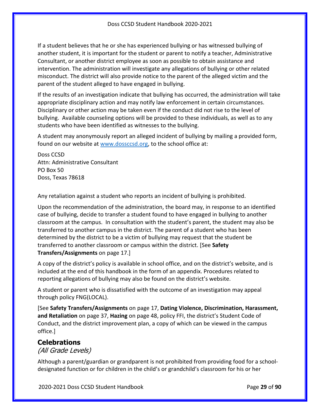If a student believes that he or she has experienced bullying or has witnessed bullying of another student, it is important for the student or parent to notify a teacher, Administrative Consultant, or another district employee as soon as possible to obtain assistance and intervention. The administration will investigate any allegations of bullying or other related misconduct. The district will also provide notice to the parent of the alleged victim and the parent of the student alleged to have engaged in bullying.

If the results of an investigation indicate that bullying has occurred, the administration will take appropriate disciplinary action and may notify law enforcement in certain circumstances. Disciplinary or other action may be taken even if the conduct did not rise to the level of bullying. Available counseling options will be provided to these individuals, as well as to any students who have been identified as witnesses to the bullying.

A student may anonymously report an alleged incident of bullying by mailing a provided form, found on our website at [www.dossccsd.org,](http://www.dossccsd.org/) to the school office at:

Doss CCSD Attn: Administrative Consultant PO Box 50 Doss, Texas 78618

Any retaliation against a student who reports an incident of bullying is prohibited.

Upon the recommendation of the administration, the board may, in response to an identified case of bullying, decide to transfer a student found to have engaged in bullying to another classroom at the campus. In consultation with the student's parent, the student may also be transferred to another campus in the district. The parent of a student who has been determined by the district to be a victim of bullying may request that the student be transferred to another classroom or campus within the district. [See **Safety Transfers/Assignments** on page [17.](#page-16-2)]

A copy of the district's policy is available in school office, and on the district's website, and is included at the end of this handbook in the form of an appendix. Procedures related to reporting allegations of bullying may also be found on the district's website.

A student or parent who is dissatisfied with the outcome of an investigation may appeal through policy FNG(LOCAL).

[See **Safety Transfers/Assignments** on page [17,](#page-16-2) **Dating Violence, Discrimination, Harassment, and Retaliation** on pag[e 37,](#page-36-2) **Hazing** on page [48,](#page-47-2) policy FFI, the district's Student Code of Conduct, and the district improvement plan, a copy of which can be viewed in the campus office.]

#### <span id="page-28-0"></span>**Celebrations**

(All Grade Levels)

Although a parent/guardian or grandparent is not prohibited from providing food for a schooldesignated function or for children in the child's or grandchild's classroom for his or her

2020-2021 Doss CCSD Student Handbook Page **29** of **90**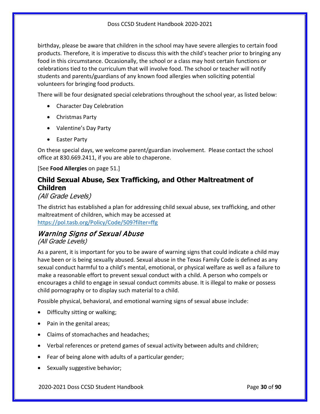birthday, please be aware that children in the school may have severe allergies to certain food products. Therefore, it is imperative to discuss this with the child's teacher prior to bringing any food in this circumstance. Occasionally, the school or a class may host certain functions or celebrations tied to the curriculum that will involve food. The school or teacher will notify students and parents/guardians of any known food allergies when soliciting potential volunteers for bringing food products.

There will be four designated special celebrations throughout the school year, as listed below:

- Character Day Celebration
- Christmas Party
- Valentine's Day Party
- Easter Party

On these special days, we welcome parent/guardian involvement. Please contact the school office at 830.669.2411, if you are able to chaperone.

[See **Food Allergies** on page [51.](#page-50-0)]

# <span id="page-29-0"></span>**Child Sexual Abuse, Sex Trafficking, and Other Maltreatment of Children**

#### (All Grade Levels)

The district has established a plan for addressing child sexual abuse, sex trafficking, and other maltreatment of children, which may be accessed at <https://pol.tasb.org/Policy/Code/509?filter=ffg>

### Warning Signs of Sexual Abuse (All Grade Levels)

As a parent, it is important for you to be aware of warning signs that could indicate a child may have been or is being sexually abused. Sexual abuse in the Texas Family Code is defined as any sexual conduct harmful to a child's mental, emotional, or physical welfare as well as a failure to make a reasonable effort to prevent sexual conduct with a child. A person who compels or encourages a child to engage in sexual conduct commits abuse. It is illegal to make or possess child pornography or to display such material to a child.

Possible physical, behavioral, and emotional warning signs of sexual abuse include:

- Difficulty sitting or walking;
- Pain in the genital areas;
- Claims of stomachaches and headaches;
- Verbal references or pretend games of sexual activity between adults and children;
- Fear of being alone with adults of a particular gender;
- Sexually suggestive behavior;

2020-2021 Doss CCSD Student Handbook Page **30** of **90**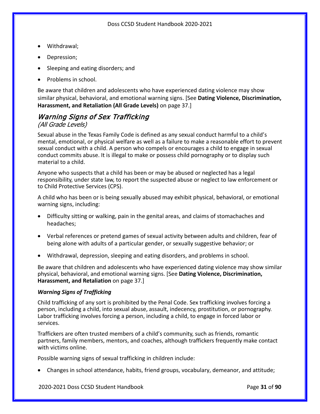- Withdrawal;
- Depression;
- Sleeping and eating disorders; and
- Problems in school.

Be aware that children and adolescents who have experienced dating violence may show similar physical, behavioral, and emotional warning signs. [See **Dating Violence, Discrimination, Harassment, and Retaliation (All Grade Levels)** on page [37.](#page-36-2)]

# Warning Signs of Sex Trafficking

#### (All Grade Levels)

Sexual abuse in the Texas Family Code is defined as any sexual conduct harmful to a child's mental, emotional, or physical welfare as well as a failure to make a reasonable effort to prevent sexual conduct with a child. A person who compels or encourages a child to engage in sexual conduct commits abuse. It is illegal to make or possess child pornography or to display such material to a child.

Anyone who suspects that a child has been or may be abused or neglected has a legal responsibility, under state law, to report the suspected abuse or neglect to law enforcement or to Child Protective Services (CPS).

A child who has been or is being sexually abused may exhibit physical, behavioral, or emotional warning signs, including:

- Difficulty sitting or walking, pain in the genital areas, and claims of stomachaches and headaches;
- Verbal references or pretend games of sexual activity between adults and children, fear of being alone with adults of a particular gender, or sexually suggestive behavior; or
- Withdrawal, depression, sleeping and eating disorders, and problems in school.

Be aware that children and adolescents who have experienced dating violence may show similar physical, behavioral, and emotional warning signs. [See **Dating Violence, Discrimination, Harassment, and Retaliation** on page [37.](#page-36-2)]

#### *Warning Signs of Trafficking*

Child trafficking of any sort is prohibited by the Penal Code. Sex trafficking involves forcing a person, including a child, into sexual abuse, assault, indecency, prostitution, or pornography. Labor trafficking involves forcing a person, including a child, to engage in forced labor or services.

Traffickers are often trusted members of a child's community, such as friends, romantic partners, family members, mentors, and coaches, although traffickers frequently make contact with victims online.

Possible warning signs of sexual trafficking in children include:

• Changes in school attendance, habits, friend groups, vocabulary, demeanor, and attitude;

2020-2021 Doss CCSD Student Handbook Page **31** of **90**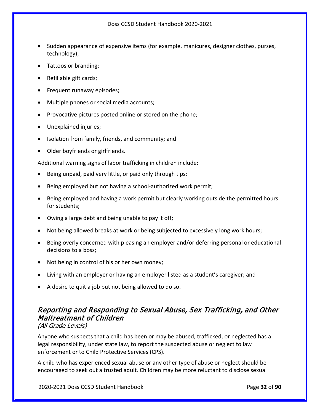- Sudden appearance of expensive items (for example, manicures, designer clothes, purses, technology);
- Tattoos or branding;
- Refillable gift cards;
- Frequent runaway episodes;
- Multiple phones or social media accounts;
- Provocative pictures posted online or stored on the phone;
- Unexplained injuries;
- Isolation from family, friends, and community; and
- Older boyfriends or girlfriends.

Additional warning signs of labor trafficking in children include:

- Being unpaid, paid very little, or paid only through tips;
- Being employed but not having a school-authorized work permit;
- Being employed and having a work permit but clearly working outside the permitted hours for students;
- Owing a large debt and being unable to pay it off;
- Not being allowed breaks at work or being subjected to excessively long work hours;
- Being overly concerned with pleasing an employer and/or deferring personal or educational decisions to a boss;
- Not being in control of his or her own money;
- Living with an employer or having an employer listed as a student's caregiver; and
- A desire to quit a job but not being allowed to do so.

# Reporting and Responding to Sexual Abuse, Sex Trafficking, and Other Maltreatment of Children

#### (All Grade Levels)

Anyone who suspects that a child has been or may be abused, trafficked, or neglected has a legal responsibility, under state law, to report the suspected abuse or neglect to law enforcement or to Child Protective Services (CPS).

A child who has experienced sexual abuse or any other type of abuse or neglect should be encouraged to seek out a trusted adult. Children may be more reluctant to disclose sexual

2020-2021 Doss CCSD Student Handbook Page **32** of **90**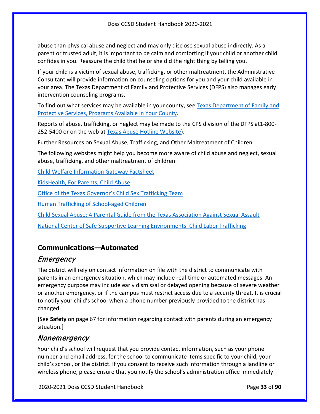abuse than physical abuse and neglect and may only disclose sexual abuse indirectly. As a parent or trusted adult, it is important to be calm and comforting if your child or another child confides in you. Reassure the child that he or she did the right thing by telling you.

If your child is a victim of sexual abuse, trafficking, or other maltreatment, the Administrative Consultant will provide information on counseling options for you and your child available in your area. The Texas Department of Family and Protective Services (DFPS) also manages early intervention counseling programs.

To find out what services may be available in your county, see Texas Department of Family and [Protective Services, Programs Available in Your County.](http://www.dfps.state.tx.us/Prevention_and_Early_Intervention/Programs_Available_In_Your_County/default.asp)

Reports of abuse, trafficking, or neglect may be made to the CPS division of the DFPS at1-800- 252-5400 or on the web at [Texas Abuse Hotline Website\)](http://www.txabusehotline.org/).

Further Resources on Sexual Abuse, Trafficking, and Other Maltreatment of Children

The following websites might help you become more aware of child abuse and neglect, sexual abuse, trafficking, and other maltreatment of children:

[Child Welfare Information Gateway Factsheet](https://www.childwelfare.gov/pubs/factsheets/whatiscan.pdf)

[KidsHealth, For Parents, Child Abuse](http://kidshealth.org/en/parents/child-abuse.html)

[Office of the Texas Governor's Child Sex Trafficking Team](https://gov.texas.gov/organization/cjd/childsextrafficking)

[Human Trafficking of School-aged Children](https://tea.texas.gov/About_TEA/Other_Services/Human_Trafficking_of_School-aged_Children/)

[Child Sexual Abuse: A Parental Guide from the Texas Association Against Sexual Assault](http://taasa.org/product/child-sexual-abuse-parental-guide/)

[National Center of Safe Supportive Learning Environments: Child Labor Trafficking](https://safesupportivelearning.ed.gov/human-trafficking-americas-schools/child-labor-trafficking)

# <span id="page-32-0"></span>**Communications—Automated**

# Emergency

The district will rely on contact information on file with the district to communicate with parents in an emergency situation, which may include real-time or automated messages. An emergency purpose may include early dismissal or delayed opening because of severe weather or another emergency, or if the campus must restrict access due to a security threat. It is crucial to notify your child's school when a phone number previously provided to the district has changed.

[See **Safety** on page [67](#page-66-1) for information regarding contact with parents during an emergency situation.]

# Nonemergency

Your child's school will request that you provide contact information, such as your phone number and email address, for the school to communicate items specific to your child, your child's school, or the district. If you consent to receive such information through a landline or wireless phone, please ensure that you notify the school's administration office immediately

2020-2021 Doss CCSD Student Handbook Page **33** of **90**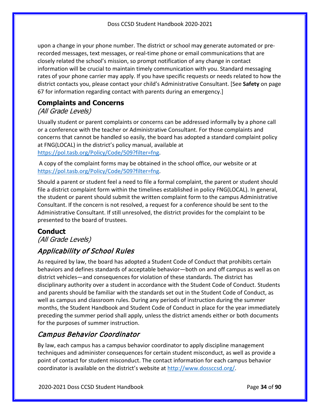upon a change in your phone number. The district or school may generate automated or prerecorded messages, text messages, or real-time phone or email communications that are closely related the school's mission, so prompt notification of any change in contact information will be crucial to maintain timely communication with you. Standard messaging rates of your phone carrier may apply. If you have specific requests or needs related to how the district contacts you, please contact your child's Administrative Consultant. [See **Safety** on page [67](#page-66-1) for information regarding contact with parents during an emergency.]

## <span id="page-33-0"></span>**Complaints and Concerns**

### (All Grade Levels)

Usually student or parent complaints or concerns can be addressed informally by a phone call or a conference with the teacher or Administrative Consultant. For those complaints and concerns that cannot be handled so easily, the board has adopted a standard complaint policy at FNG(LOCAL) in the district's policy manual, available at [https://pol.tasb.org/Policy/Code/509?filter=fng.](https://pol.tasb.org/Policy/Code/509?filter=fng)

A copy of the complaint forms may be obtained in the school office, our website or at [https://pol.tasb.org/Policy/Code/509?filter=fng.](https://pol.tasb.org/Policy/Code/509?filter=fng)

Should a parent or student feel a need to file a formal complaint, the parent or student should file a district complaint form within the timelines established in policy FNG(LOCAL). In general, the student or parent should submit the written complaint form to the campus Administrative Consultant. If the concern is not resolved, a request for a conference should be sent to the Administrative Consultant. If still unresolved, the district provides for the complaint to be presented to the board of trustees.

### <span id="page-33-1"></span>**Conduct**

(All Grade Levels)

# Applicability of School Rules

As required by law, the board has adopted a Student Code of Conduct that prohibits certain behaviors and defines standards of acceptable behavior—both on and off campus as well as on district vehicles—and consequences for violation of these standards. The district has disciplinary authority over a student in accordance with the Student Code of Conduct. Students and parents should be familiar with the standards set out in the Student Code of Conduct, as well as campus and classroom rules. During any periods of instruction during the summer months, the Student Handbook and Student Code of Conduct in place for the year immediately preceding the summer period shall apply, unless the district amends either or both documents for the purposes of summer instruction.

# Campus Behavior Coordinator

By law, each campus has a campus behavior coordinator to apply discipline management techniques and administer consequences for certain student misconduct, as well as provide a point of contact for student misconduct. The contact information for each campus behavior coordinator is available on the district's website at [http://www.dossccsd.org/.](http://www.dossccsd.org/)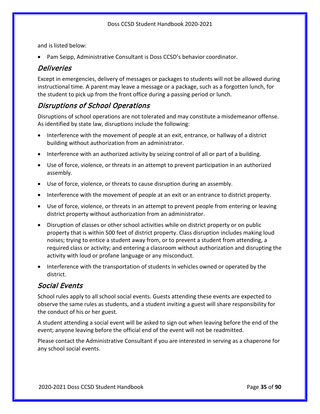and is listed below:

• Pam Seipp, Administrative Consultant is Doss CCSD's behavior coordinator.

#### Deliveries

Except in emergencies, delivery of messages or packages to students will not be allowed during instructional time. A parent may leave a message or a package, such as a forgotten lunch, for the student to pick up from the front office during a passing period or lunch.

#### Disruptions of School Operations

Disruptions of school operations are not tolerated and may constitute a misdemeanor offense. As identified by state law, disruptions include the following:

- Interference with the movement of people at an exit, entrance, or hallway of a district building without authorization from an administrator.
- Interference with an authorized activity by seizing control of all or part of a building.
- Use of force, violence, or threats in an attempt to prevent participation in an authorized assembly.
- Use of force, violence, or threats to cause disruption during an assembly.
- Interference with the movement of people at an exit or an entrance to district property.
- Use of force, violence, or threats in an attempt to prevent people from entering or leaving district property without authorization from an administrator.
- Disruption of classes or other school activities while on district property or on public property that is within 500 feet of district property. Class disruption includes making loud noises; trying to entice a student away from, or to prevent a student from attending, a required class or activity; and entering a classroom without authorization and disrupting the activity with loud or profane language or any misconduct.
- Interference with the transportation of students in vehicles owned or operated by the district.

#### Social Events

School rules apply to all school social events. Guests attending these events are expected to observe the same rules as students, and a student inviting a guest will share responsibility for the conduct of his or her guest.

A student attending a social event will be asked to sign out when leaving before the end of the event; anyone leaving before the official end of the event will not be readmitted.

Please contact the Administrative Consultant if you are interested in serving as a chaperone for any school social events.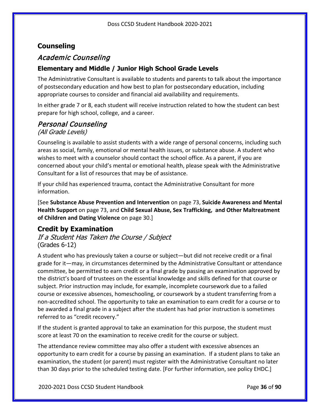#### <span id="page-35-0"></span>**Counseling**

### Academic Counseling

#### **Elementary and Middle / Junior High School Grade Levels**

The Administrative Consultant is available to students and parents to talk about the importance of postsecondary education and how best to plan for postsecondary education, including appropriate courses to consider and financial aid availability and requirements.

In either grade 7 or 8, each student will receive instruction related to how the student can best prepare for high school, college, and a career.

# Personal Counseling

#### (All Grade Levels)

Counseling is available to assist students with a wide range of personal concerns, including such areas as social, family, emotional or mental health issues, or substance abuse. A student who wishes to meet with a counselor should contact the school office. As a parent, if you are concerned about your child's mental or emotional health, please speak with the Administrative Consultant for a list of resources that may be of assistance.

If your child has experienced trauma, contact the Administrative Consultant for more information.

[See **Substance Abuse Prevention and Intervention** on page [73,](#page-72-1) **Suicide Awareness and Mental Health Support** on page [73,](#page-72-2) and **Child Sexual Abuse, Sex Trafficking, and Other Maltreatment of Children and Dating Violence** on page [30.](#page-29-0)]

### <span id="page-35-1"></span>**Credit by Examination**

If a Student Has Taken the Course / Subject (Grades 6-12)

A student who has previously taken a course or subject—but did not receive credit or a final grade for it—may, in circumstances determined by the Administrative Consultant or attendance committee, be permitted to earn credit or a final grade by passing an examination approved by the district's board of trustees on the essential knowledge and skills defined for that course or subject. Prior instruction may include, for example, incomplete coursework due to a failed course or excessive absences, homeschooling, or coursework by a student transferring from a non-accredited school. The opportunity to take an examination to earn credit for a course or to be awarded a final grade in a subject after the student has had prior instruction is sometimes referred to as "credit recovery."

If the student is granted approval to take an examination for this purpose, the student must score at least 70 on the examination to receive credit for the course or subject.

The attendance review committee may also offer a student with excessive absences an opportunity to earn credit for a course by passing an examination. If a student plans to take an examination, the student (or parent) must register with the Administrative Consultant no later than 30 days prior to the scheduled testing date. [For further information, see policy EHDC.]

2020-2021 Doss CCSD Student Handbook Page **36** of **90**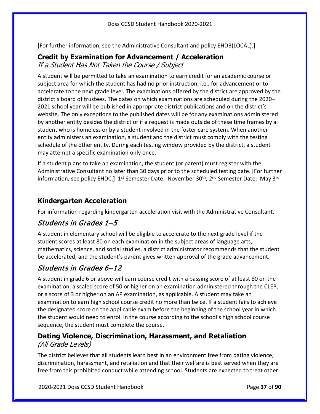[For further information, see the Administrative Consultant and policy EHDB(LOCAL).]

# **Credit by Examination for Advancement / Acceleration**

If a Student Has Not Taken the Course / Subject

A student will be permitted to take an examination to earn credit for an academic course or subject area for which the student has had no prior instruction, i.e., for advancement or to accelerate to the next grade level. The examinations offered by the district are approved by the district's board of trustees. The dates on which examinations are scheduled during the 2020– 2021 school year will be published in appropriate district publications and on the district's website. The only exceptions to the published dates will be for any examinations administered by another entity besides the district or if a request is made outside of these time frames by a student who is homeless or by a student involved in the foster care system. When another entity administers an examination, a student and the district must comply with the testing schedule of the other entity. During each testing window provided by the district, a student may attempt a specific examination only once.

If a student plans to take an examination, the student (or parent) must register with the Administrative Consultant no later than 30 days prior to the scheduled testing date. [For further information, see policy EHDC.] 1<sup>st</sup> Semester Date: November 30<sup>th</sup>; 2<sup>nd</sup> Semester Date: May 3<sup>rd</sup>

### **Kindergarten Acceleration**

For information regarding kindergarten acceleration visit with the Administrative Consultant.

### Students in Grades 1–5

A student in elementary school will be eligible to accelerate to the next grade level if the student scores at least 80 on each examination in the subject areas of language arts, mathematics, science, and social studies, a district administrator recommends that the student be accelerated, and the student's parent gives written approval of the grade advancement.

### Students in Grades 6–12

A student in grade 6 or above will earn course credit with a passing score of at least 80 on the examination, a scaled score of 50 or higher on an examination administered through the CLEP, or a score of 3 or higher on an AP examination, as applicable. A student may take an examination to earn high school course credit no more than twice. If a student fails to achieve the designated score on the applicable exam before the beginning of the school year in which the student would need to enroll in the course according to the school's high school course sequence, the student must complete the course.

### <span id="page-36-0"></span>**Dating Violence, Discrimination, Harassment, and Retaliation** (All Grade Levels)

The district believes that all students learn best in an environment free from dating violence, discrimination, harassment, and retaliation and that their welfare is best served when they are free from this prohibited conduct while attending school. Students are expected to treat other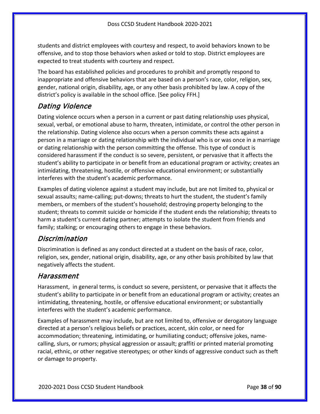students and district employees with courtesy and respect, to avoid behaviors known to be offensive, and to stop those behaviors when asked or told to stop. District employees are expected to treat students with courtesy and respect.

The board has established policies and procedures to prohibit and promptly respond to inappropriate and offensive behaviors that are based on a person's race, color, religion, sex, gender, national origin, disability, age, or any other basis prohibited by law. A copy of the district's policy is available in the school office. [See policy FFH.]

### Dating Violence

Dating violence occurs when a person in a current or past dating relationship uses physical, sexual, verbal, or emotional abuse to harm, threaten, intimidate, or control the other person in the relationship. Dating violence also occurs when a person commits these acts against a person in a marriage or dating relationship with the individual who is or was once in a marriage or dating relationship with the person committing the offense. This type of conduct is considered harassment if the conduct is so severe, persistent, or pervasive that it affects the student's ability to participate in or benefit from an educational program or activity; creates an intimidating, threatening, hostile, or offensive educational environment; or substantially interferes with the student's academic performance.

Examples of dating violence against a student may include, but are not limited to, physical or sexual assaults; name-calling; put-downs; threats to hurt the student, the student's family members, or members of the student's household; destroying property belonging to the student; threats to commit suicide or homicide if the student ends the relationship; threats to harm a student's current dating partner; attempts to isolate the student from friends and family; stalking; or encouraging others to engage in these behaviors.

### Discrimination

Discrimination is defined as any conduct directed at a student on the basis of race, color, religion, sex, gender, national origin, disability, age, or any other basis prohibited by law that negatively affects the student.

### Harassment

Harassment, in general terms, is conduct so severe, persistent, or pervasive that it affects the student's ability to participate in or benefit from an educational program or activity; creates an intimidating, threatening, hostile, or offensive educational environment; or substantially interferes with the student's academic performance.

Examples of harassment may include, but are not limited to, offensive or derogatory language directed at a person's religious beliefs or practices, accent, skin color, or need for accommodation; threatening, intimidating, or humiliating conduct; offensive jokes, namecalling, slurs, or rumors; physical aggression or assault; graffiti or printed material promoting racial, ethnic, or other negative stereotypes; or other kinds of aggressive conduct such as theft or damage to property.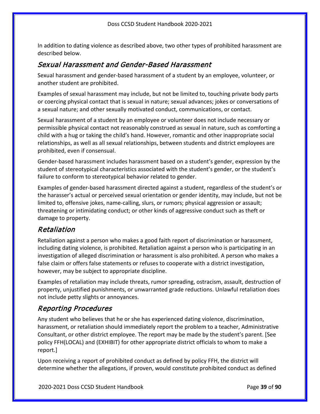In addition to dating violence as described above, two other types of prohibited harassment are described below.

### Sexual Harassment and Gender-Based Harassment

Sexual harassment and gender-based harassment of a student by an employee, volunteer, or another student are prohibited.

Examples of sexual harassment may include, but not be limited to, touching private body parts or coercing physical contact that is sexual in nature; sexual advances; jokes or conversations of a sexual nature; and other sexually motivated conduct, communications, or contact.

Sexual harassment of a student by an employee or volunteer does not include necessary or permissible physical contact not reasonably construed as sexual in nature, such as comforting a child with a hug or taking the child's hand. However, romantic and other inappropriate social relationships, as well as all sexual relationships, between students and district employees are prohibited, even if consensual.

Gender-based harassment includes harassment based on a student's gender, expression by the student of stereotypical characteristics associated with the student's gender, or the student's failure to conform to stereotypical behavior related to gender.

Examples of gender-based harassment directed against a student, regardless of the student's or the harasser's actual or perceived sexual orientation or gender identity, may include, but not be limited to, offensive jokes, name-calling, slurs, or rumors; physical aggression or assault; threatening or intimidating conduct; or other kinds of aggressive conduct such as theft or damage to property.

### Retaliation

Retaliation against a person who makes a good faith report of discrimination or harassment, including dating violence, is prohibited. Retaliation against a person who is participating in an investigation of alleged discrimination or harassment is also prohibited. A person who makes a false claim or offers false statements or refuses to cooperate with a district investigation, however, may be subject to appropriate discipline.

Examples of retaliation may include threats, rumor spreading, ostracism, assault, destruction of property, unjustified punishments, or unwarranted grade reductions. Unlawful retaliation does not include petty slights or annoyances.

### Reporting Procedures

Any student who believes that he or she has experienced dating violence, discrimination, harassment, or retaliation should immediately report the problem to a teacher, Administrative Consultant, or other district employee. The report may be made by the student's parent. [See policy FFH(LOCAL) and (EXHIBIT) for other appropriate district officials to whom to make a report.]

Upon receiving a report of prohibited conduct as defined by policy FFH, the district will determine whether the allegations, if proven, would constitute prohibited conduct as defined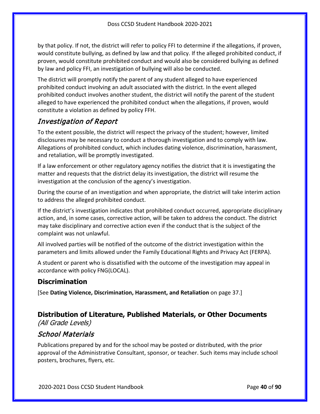by that policy. If not, the district will refer to policy FFI to determine if the allegations, if proven, would constitute bullying, as defined by law and that policy. If the alleged prohibited conduct, if proven, would constitute prohibited conduct and would also be considered bullying as defined by law and policy FFI, an investigation of bullying will also be conducted.

The district will promptly notify the parent of any student alleged to have experienced prohibited conduct involving an adult associated with the district. In the event alleged prohibited conduct involves another student, the district will notify the parent of the student alleged to have experienced the prohibited conduct when the allegations, if proven, would constitute a violation as defined by policy FFH.

### Investigation of Report

To the extent possible, the district will respect the privacy of the student; however, limited disclosures may be necessary to conduct a thorough investigation and to comply with law. Allegations of prohibited conduct, which includes dating violence, discrimination, harassment, and retaliation, will be promptly investigated.

If a law enforcement or other regulatory agency notifies the district that it is investigating the matter and requests that the district delay its investigation, the district will resume the investigation at the conclusion of the agency's investigation.

During the course of an investigation and when appropriate, the district will take interim action to address the alleged prohibited conduct.

If the district's investigation indicates that prohibited conduct occurred, appropriate disciplinary action, and, in some cases, corrective action, will be taken to address the conduct. The district may take disciplinary and corrective action even if the conduct that is the subject of the complaint was not unlawful.

All involved parties will be notified of the outcome of the district investigation within the parameters and limits allowed under the Family Educational Rights and Privacy Act (FERPA).

A student or parent who is dissatisfied with the outcome of the investigation may appeal in accordance with policy FNG(LOCAL).

### **Discrimination**

[See **Dating Violence, Discrimination, Harassment, and Retaliation** on page [37.](#page-36-0)]

#### **Distribution of Literature, Published Materials, or Other Documents** (All Grade Levels)

### School Materials

Publications prepared by and for the school may be posted or distributed, with the prior approval of the Administrative Consultant, sponsor, or teacher. Such items may include school posters, brochures, flyers, etc.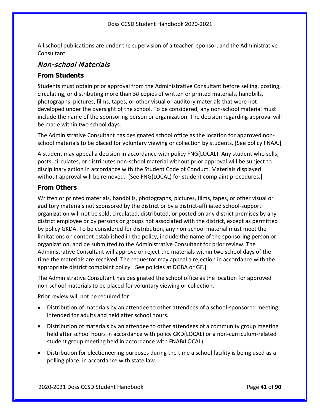All school publications are under the supervision of a teacher, sponsor, and the Administrative Consultant.

### Non-school Materials

#### **From Students**

Students must obtain prior approval from the Administrative Consultant before selling, posting, circulating, or distributing more than *50* copies of written or printed materials, handbills, photographs, pictures, films, tapes, or other visual or auditory materials that were not developed under the oversight of the school. To be considered, any non-school material must include the name of the sponsoring person or organization. The decision regarding approval will be made within two school days.

The Administrative Consultant has designated school office as the location for approved nonschool materials to be placed for voluntary viewing or collection by students. [See policy FNAA.]

A student may appeal a decision in accordance with policy FNG(LOCAL). Any student who sells, posts, circulates, or distributes non-school material without prior approval will be subject to disciplinary action in accordance with the Student Code of Conduct. Materials displayed without approval will be removed. [See FNG(LOCAL) for student complaint procedures.]

#### **From Others**

Written or printed materials, handbills, photographs, pictures, films, tapes, or other visual or auditory materials not sponsored by the district or by a district-affiliated school-support organization will not be sold, circulated, distributed, or posted on any district premises by any district employee or by persons or groups not associated with the district, except as permitted by policy GKDA. To be considered for distribution, any non-school material must meet the limitations on content established in the policy, include the name of the sponsoring person or organization, and be submitted to the Administrative Consultant for prior review. The Administrative Consultant will approve or reject the materials within two school days of the time the materials are received. The requestor may appeal a rejection in accordance with the appropriate district complaint policy. [See policies at DGBA or GF.]

The Administrative Consultant has designated the school office as the location for approved non-school materials to be placed for voluntary viewing or collection.

Prior review will not be required for:

- Distribution of materials by an attendee to other attendees of a school-sponsored meeting intended for adults and held after school hours.
- Distribution of materials by an attendee to other attendees of a community group meeting held after school hours in accordance with policy GKD(LOCAL) or a non-curriculum-related student group meeting held in accordance with FNAB(LOCAL).
- Distribution for electioneering purposes during the time a school facility is being used as a polling place, in accordance with state law.

2020-2021 Doss CCSD Student Handbook Page **41** of **90**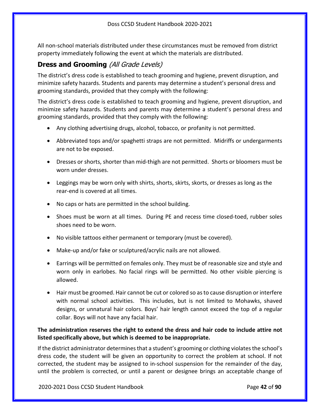All non-school materials distributed under these circumstances must be removed from district property immediately following the event at which the materials are distributed.

### **Dress and Grooming** (All Grade Levels)

The district's dress code is established to teach grooming and hygiene, prevent disruption, and minimize safety hazards. Students and parents may determine a student's personal dress and grooming standards, provided that they comply with the following:

The district's dress code is established to teach grooming and hygiene, prevent disruption, and minimize safety hazards. Students and parents may determine a student's personal dress and grooming standards, provided that they comply with the following:

- Any clothing advertising drugs, alcohol, tobacco, or profanity is not permitted.
- Abbreviated tops and/or spaghetti straps are not permitted. Midriffs or undergarments are not to be exposed.
- Dresses or shorts, shorter than mid-thigh are not permitted. Shorts or bloomers must be worn under dresses.
- Leggings may be worn only with shirts, shorts, skirts, skorts, or dresses as long as the rear-end is covered at all times.
- No caps or hats are permitted in the school building.
- Shoes must be worn at all times. During PE and recess time closed-toed, rubber soles shoes need to be worn.
- No visible tattoos either permanent or temporary (must be covered).
- Make-up and/or fake or sculptured/acrylic nails are not allowed.
- Earrings will be permitted on females only. They must be of reasonable size and style and worn only in earlobes. No facial rings will be permitted. No other visible piercing is allowed.
- Hair must be groomed. Hair cannot be cut or colored so as to cause disruption or interfere with normal school activities. This includes, but is not limited to Mohawks, shaved designs, or unnatural hair colors. Boys' hair length cannot exceed the top of a regular collar. Boys will not have any facial hair.

#### **The administration reserves the right to extend the dress and hair code to include attire not listed specifically above, but which is deemed to be inappropriate.**

If the district administrator determines that a student's grooming or clothing violates the school's dress code, the student will be given an opportunity to correct the problem at school. If not corrected, the student may be assigned to in-school suspension for the remainder of the day, until the problem is corrected, or until a parent or designee brings an acceptable change of

2020-2021 Doss CCSD Student Handbook Page **42** of **90**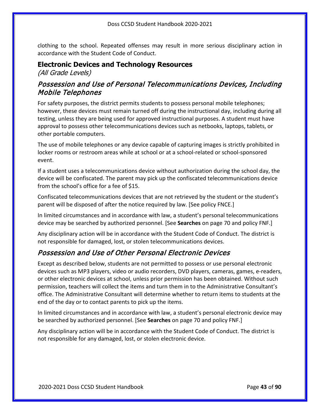clothing to the school. Repeated offenses may result in more serious disciplinary action in accordance with the Student Code of Conduct.

#### <span id="page-42-0"></span>**Electronic Devices and Technology Resources**

(All Grade Levels)

### Possession and Use of Personal Telecommunications Devices, Including Mobile Telephones

For safety purposes, the district permits students to possess personal mobile telephones; however, these devices must remain turned off during the instructional day, including during all testing, unless they are being used for approved instructional purposes. A student must have approval to possess other telecommunications devices such as netbooks, laptops, tablets, or other portable computers.

The use of mobile telephones or any device capable of capturing images is strictly prohibited in locker rooms or restroom areas while at school or at a school-related or school-sponsored event.

If a student uses a telecommunications device without authorization during the school day, the device will be confiscated. The parent may pick up the confiscated telecommunications device from the school's office for a fee of \$15.

Confiscated telecommunications devices that are not retrieved by the student or the student's parent will be disposed of after the notice required by law. [See policy FNCE.]

In limited circumstances and in accordance with law, a student's personal telecommunications device may be searched by authorized personnel. [See **Searches** on page [70](#page-69-0) and policy FNF.]

Any disciplinary action will be in accordance with the Student Code of Conduct. The district is not responsible for damaged, lost, or stolen telecommunications devices.

### Possession and Use of Other Personal Electronic Devices

Except as described below, students are not permitted to possess or use personal electronic devices such as MP3 players, video or audio recorders, DVD players, cameras, games, e-readers, or other electronic devices at school, unless prior permission has been obtained. Without such permission, teachers will collect the items and turn them in to the Administrative Consultant's office. The Administrative Consultant will determine whether to return items to students at the end of the day or to contact parents to pick up the items.

In limited circumstances and in accordance with law, a student's personal electronic device may be searched by authorized personnel. [See **Searches** on page [70](#page-69-0) and policy FNF.]

Any disciplinary action will be in accordance with the Student Code of Conduct. The district is not responsible for any damaged, lost, or stolen electronic device.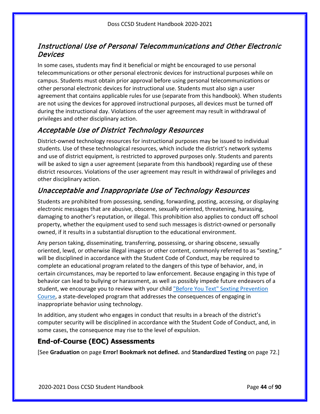### Instructional Use of Personal Telecommunications and Other Electronic Devices

In some cases, students may find it beneficial or might be encouraged to use personal telecommunications or other personal electronic devices for instructional purposes while on campus. Students must obtain prior approval before using personal telecommunications or other personal electronic devices for instructional use. Students must also sign a user agreement that contains applicable rules for use (separate from this handbook). When students are not using the devices for approved instructional purposes, all devices must be turned off during the instructional day. Violations of the user agreement may result in withdrawal of privileges and other disciplinary action.

### Acceptable Use of District Technology Resources

District-owned technology resources for instructional purposes may be issued to individual students. Use of these technological resources, which include the district's network systems and use of district equipment, is restricted to approved purposes only. Students and parents will be asked to sign a user agreement (separate from this handbook) regarding use of these district resources. Violations of the user agreement may result in withdrawal of privileges and other disciplinary action.

### Unacceptable and Inappropriate Use of Technology Resources

Students are prohibited from possessing, sending, forwarding, posting, accessing, or displaying electronic messages that are abusive, obscene, sexually oriented, threatening, harassing, damaging to another's reputation, or illegal. This prohibition also applies to conduct off school property, whether the equipment used to send such messages is district-owned or personally owned, if it results in a substantial disruption to the educational environment.

Any person taking, disseminating, transferring, possessing, or sharing obscene, sexually oriented, lewd, or otherwise illegal images or other content, commonly referred to as "sexting," will be disciplined in accordance with the Student Code of Conduct, may be required to complete an educational program related to the dangers of this type of behavior, and, in certain circumstances, may be reported to law enforcement. Because engaging in this type of behavior can lead to bullying or harassment, as well as possibly impede future endeavors of a student, we encourage you to review with your child ["Before You Text" Sexting Prevention](http://beforeyoutext.com/)  [Course,](http://beforeyoutext.com/) a state-developed program that addresses the consequences of engaging in inappropriate behavior using technology.

In addition, any student who engages in conduct that results in a breach of the district's computer security will be disciplined in accordance with the Student Code of Conduct, and, in some cases, the consequence may rise to the level of expulsion.

### **End-of-Course (EOC) Assessments**

[See **Graduation** on page **Error! Bookmark not defined.** and **Standardized Testing** on page [72.](#page-71-0)]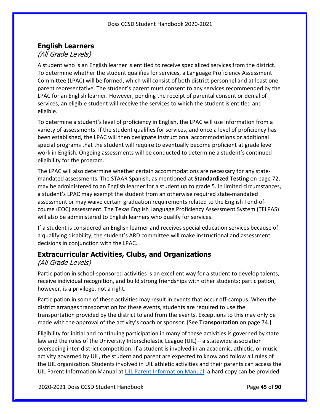### **English Learners**

### (All Grade Levels)

A student who is an English learner is entitled to receive specialized services from the district. To determine whether the student qualifies for services, a Language Proficiency Assessment Committee (LPAC) will be formed, which will consist of both district personnel and at least one parent representative. The student's parent must consent to any services recommended by the LPAC for an English learner. However, pending the receipt of parental consent or denial of services, an eligible student will receive the services to which the student is entitled and eligible.

To determine a student's level of proficiency in English, the LPAC will use information from a variety of assessments. If the student qualifies for services, and once a level of proficiency has been established, the LPAC will then designate instructional accommodations or additional special programs that the student will require to eventually become proficient at grade level work in English. Ongoing assessments will be conducted to determine a student's continued eligibility for the program.

The LPAC will also determine whether certain accommodations are necessary for any statemandated assessments. The STAAR Spanish, as mentioned at **Standardized Testing** on pag[e 72,](#page-71-0) may be administered to an English learner for a student up to grade 5. In limited circumstances, a student's LPAC may exempt the student from an otherwise required state-mandated assessment or may waive certain graduation requirements related to the English I end-ofcourse (EOC) assessment. The Texas English Language Proficiency Assessment System (TELPAS) will also be administered to English learners who qualify for services.

If a student is considered an English learner and receives special education services because of a qualifying disability, the student's ARD committee will make instructional and assessment decisions in conjunction with the LPAC.

#### **Extracurricular Activities, Clubs, and Organizations** (All Grade Levels)

Participation in school-sponsored activities is an excellent way for a student to develop talents, receive individual recognition, and build strong friendships with other students; participation, however, is a privilege, not a right.

Participation in some of these activities may result in events that occur off-campus. When the district arranges transportation for these events, students are required to use the transportation provided by the district to and from the events. Exceptions to this may only be made with the approval of the activity's coach or sponsor. [See **Transportation** on page [74.](#page-73-0)]

Eligibility for initial and continuing participation in many of these activities is governed by state law and the rules of the University Interscholastic League (UIL)—a statewide association overseeing inter-district competition. If a student is involved in an academic, athletic, or music activity governed by UIL, the student and parent are expected to know and follow all rules of the UIL organization. Students involved in UIL athletic activities and their parents can access the UIL Parent Information Manual at [UIL Parent Information Manual;](https://www.uiltexas.org/athletics/manuals) a hard copy can be provided

2020-2021 Doss CCSD Student Handbook Page **45** of **90**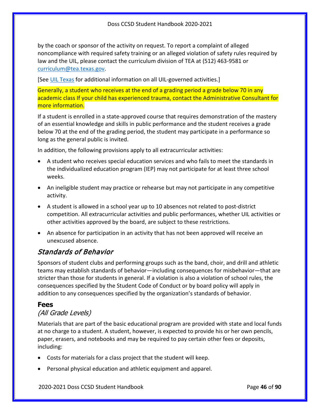by the coach or sponsor of the activity on request. To report a complaint of alleged noncompliance with required safety training or an alleged violation of safety rules required by law and the UIL, please contact the curriculum division of TEA at (512) 463-9581 or [curriculum@tea.texas.gov.](mailto:curriculum@tea.state.tx.us)

[See [UIL Texas](http://www.uiltexas.org/) for additional information on all UIL-governed activities.]

Generally, a student who receives at the end of a grading period a grade below 70 in any academic class If your child has experienced trauma, contact the Administrative Consultant for more information.

If a student is enrolled in a state-approved course that requires demonstration of the mastery of an essential knowledge and skills in public performance and the student receives a grade below 70 at the end of the grading period, the student may participate in a performance so long as the general public is invited.

In addition, the following provisions apply to all extracurricular activities:

- A student who receives special education services and who fails to meet the standards in the individualized education program (IEP) may not participate for at least three school weeks.
- An ineligible student may practice or rehearse but may not participate in any competitive activity.
- A student is allowed in a school year up to 10 absences not related to post-district competition. All extracurricular activities and public performances, whether UIL activities or other activities approved by the board, are subject to these restrictions.
- An absence for participation in an activity that has not been approved will receive an unexcused absence.

### Standards of Behavior

Sponsors of student clubs and performing groups such as the band, choir, and drill and athletic teams may establish standards of behavior—including consequences for misbehavior—that are stricter than those for students in general. If a violation is also a violation of school rules, the consequences specified by the Student Code of Conduct or by board policy will apply in addition to any consequences specified by the organization's standards of behavior.

#### **Fees**

### (All Grade Levels)

Materials that are part of the basic educational program are provided with state and local funds at no charge to a student. A student, however, is expected to provide his or her own pencils, paper, erasers, and notebooks and may be required to pay certain other fees or deposits, including:

- Costs for materials for a class project that the student will keep.
- Personal physical education and athletic equipment and apparel.

2020-2021 Doss CCSD Student Handbook Page **46** of **90**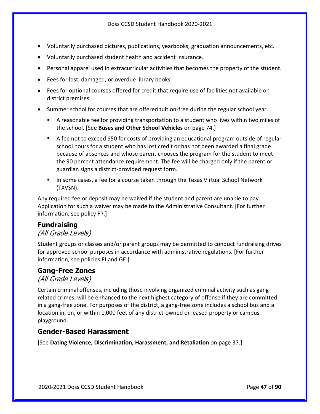- Voluntarily purchased pictures, publications, yearbooks, graduation announcements, etc.
- Voluntarily purchased student health and accident insurance.
- Personal apparel used in extracurricular activities that becomes the property of the student.
- Fees for lost, damaged, or overdue library books.
- Fees for optional courses offered for credit that require use of facilities not available on district premises.
- Summer school for courses that are offered tuition-free during the regular school year.
	- A reasonable fee for providing transportation to a student who lives within two miles of the school. [See **Buses and Other School Vehicles** on page [74.](#page-73-1)]
	- A fee not to exceed \$50 for costs of providing an educational program outside of regular school hours for a student who has lost credit or has not been awarded a final grade because of absences and whose parent chooses the program for the student to meet the 90 percent attendance requirement. The fee will be charged only if the parent or guardian signs a district-provided request form.
	- In some cases, a fee for a course taken through the Texas Virtual School Network (TXVSN).

Any required fee or deposit may be waived if the student and parent are unable to pay. Application for such a waiver may be made to the Administrative Consultant. [For further information, see policy FP.]

#### **Fundraising**

#### (All Grade Levels)

Student groups or classes and/or parent groups may be permitted to conduct fundraising drives for approved school purposes in accordance with administrative regulations. [For further information, see policies FJ and GE.]

#### **Gang-Free Zones**

(All Grade Levels)

Certain criminal offenses, including those involving organized criminal activity such as gangrelated crimes, will be enhanced to the next highest category of offense if they are committed in a gang-free zone. For purposes of the district, a gang-free zone includes a school bus and a location in, on, or within 1,000 feet of any district-owned or leased property or campus playground.

#### **Gender-Based Harassment**

[See **Dating Violence, Discrimination, Harassment, and Retaliation** on page [37.](#page-36-0)]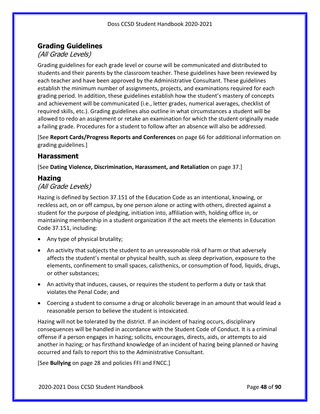### <span id="page-47-0"></span>**Grading Guidelines**

### (All Grade Levels)

Grading guidelines for each grade level or course will be communicated and distributed to students and their parents by the classroom teacher. These guidelines have been reviewed by each teacher and have been approved by the Administrative Consultant. These guidelines establish the minimum number of assignments, projects, and examinations required for each grading period. In addition, these guidelines establish how the student's mastery of concepts and achievement will be communicated (i.e., letter grades, numerical averages, checklist of required skills, etc.). Grading guidelines also outline in what circumstances a student will be allowed to redo an assignment or retake an examination for which the student originally made a failing grade. Procedures for a student to follow after an absence will also be addressed.

[See **Report Cards/Progress Reports and Conferences** on page [66](#page-65-0) for additional information on grading guidelines.]

#### **Harassment**

[See **Dating Violence, Discrimination, Harassment, and Retaliation** on page [37.](#page-36-0)]

#### **Hazing**

#### (All Grade Levels)

Hazing is defined by Section 37.151 of the Education Code as an intentional, knowing, or reckless act, on or off campus, by one person alone or acting with others, directed against a student for the purpose of pledging, initiation into, affiliation with, holding office in, or maintaining membership in a student organization if the act meets the elements in Education Code 37.151, including:

- Any type of physical brutality;
- An activity that subjects the student to an unreasonable risk of harm or that adversely affects the student's mental or physical health, such as sleep deprivation, exposure to the elements, confinement to small spaces, calisthenics, or consumption of food, liquids, drugs, or other substances;
- An activity that induces, causes, or requires the student to perform a duty or task that violates the Penal Code; and
- Coercing a student to consume a drug or alcoholic beverage in an amount that would lead a reasonable person to believe the student is intoxicated.

Hazing will not be tolerated by the district. If an incident of hazing occurs, disciplinary consequences will be handled in accordance with the Student Code of Conduct. It is a criminal offense if a person engages in hazing; solicits, encourages, directs, aids, or attempts to aid another in hazing; or has firsthand knowledge of an incident of hazing being planned or having occurred and fails to report this to the Administrative Consultant.

[See **Bullying** on page [28](#page-27-0) and policies FFI and FNCC.]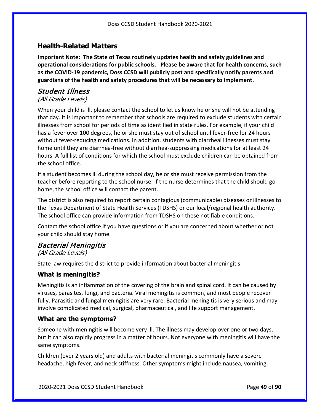#### <span id="page-48-0"></span>**Health-Related Matters**

**Important Note: The State of Texas routinely updates health and safety guidelines and operational considerations for public schools. Please be aware that for health concerns, such as the COVID-19 pandemic, Doss CCSD will publicly post and specifically notify parents and guardians of the health and safety procedures that will be necessary to implement.**

#### Student Illness

#### (All Grade Levels)

When your child is ill, please contact the school to let us know he or she will not be attending that day. It is important to remember that schools are required to exclude students with certain illnesses from school for periods of time as identified in state rules. For example, if your child has a fever over 100 degrees, he or she must stay out of school until fever-free for 24 hours without fever-reducing medications. In addition, students with diarrheal illnesses must stay home until they are diarrhea-free without diarrhea-suppressing medications for at least 24 hours. A full list of conditions for which the school must exclude children can be obtained from the school office.

If a student becomes ill during the school day, he or she must receive permission from the teacher before reporting to the school nurse. If the nurse determines that the child should go home, the school office will contact the parent.

The district is also required to report certain contagious (communicable) diseases or illnesses to the Texas Department of State Health Services (TDSHS) or our local/regional health authority. The school office can provide information from TDSHS on these notifiable conditions.

Contact the school office if you have questions or if you are concerned about whether or not your child should stay home.

### <span id="page-48-1"></span>Bacterial Meningitis

(All Grade Levels)

State law requires the district to provide information about bacterial meningitis:

#### **What is meningitis?**

Meningitis is an inflammation of the covering of the brain and spinal cord. It can be caused by viruses, parasites, fungi, and bacteria. Viral meningitis is common, and most people recover fully. Parasitic and fungal meningitis are very rare. Bacterial meningitis is very serious and may involve complicated medical, surgical, pharmaceutical, and life support management.

#### **What are the symptoms?**

Someone with meningitis will become very ill. The illness may develop over one or two days, but it can also rapidly progress in a matter of hours. Not everyone with meningitis will have the same symptoms.

Children (over 2 years old) and adults with bacterial meningitis commonly have a severe headache, high fever, and neck stiffness. Other symptoms might include nausea, vomiting,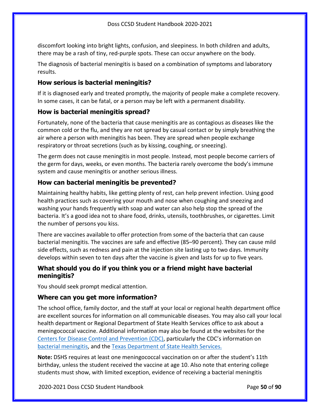discomfort looking into bright lights, confusion, and sleepiness. In both children and adults, there may be a rash of tiny, red-purple spots. These can occur anywhere on the body.

The diagnosis of bacterial meningitis is based on a combination of symptoms and laboratory results.

#### **How serious is bacterial meningitis?**

If it is diagnosed early and treated promptly, the majority of people make a complete recovery. In some cases, it can be fatal, or a person may be left with a permanent disability.

#### **How is bacterial meningitis spread?**

Fortunately, none of the bacteria that cause meningitis are as contagious as diseases like the common cold or the flu, and they are not spread by casual contact or by simply breathing the air where a person with meningitis has been. They are spread when people exchange respiratory or throat secretions (such as by kissing, coughing, or sneezing).

The germ does not cause meningitis in most people. Instead, most people become carriers of the germ for days, weeks, or even months. The bacteria rarely overcome the body's immune system and cause meningitis or another serious illness.

#### **How can bacterial meningitis be prevented?**

Maintaining healthy habits, like getting plenty of rest, can help prevent infection. Using good health practices such as covering your mouth and nose when coughing and sneezing and washing your hands frequently with soap and water can also help stop the spread of the bacteria. It's a good idea not to share food, drinks, utensils, toothbrushes, or cigarettes. Limit the number of persons you kiss.

There are vaccines available to offer protection from some of the bacteria that can cause bacterial meningitis. The vaccines are safe and effective (85–90 percent). They can cause mild side effects, such as redness and pain at the injection site lasting up to two days. Immunity develops within seven to ten days after the vaccine is given and lasts for up to five years.

#### **What should you do if you think you or a friend might have bacterial meningitis?**

You should seek prompt medical attention.

### **Where can you get more information?**

The school office, family doctor, and the staff at your local or regional health department office are excellent sources for information on all communicable diseases. You may also call your local health department or Regional Department of State Health Services office to ask about a meningococcal vaccine. Additional information may also be found at the websites for the [Centers for Disease Control and Prevention](http://www.cdc.gov/) (CDC), particularly the CDC's information on [bacterial meningitis,](https://www.cdc.gov/meningitis/bacterial.html) and the [Texas Department of State Health Services.](http://www.dshs.texas.gov/idcu/disease/meningitis/)

**Note:** DSHS requires at least one meningococcal vaccination on or after the student's 11th birthday, unless the student received the vaccine at age 10. Also note that entering college students must show, with limited exception, evidence of receiving a bacterial meningitis

2020-2021 Doss CCSD Student Handbook Page **50** of **90**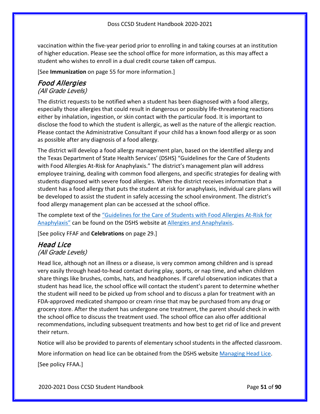vaccination within the five-year period prior to enrolling in and taking courses at an institution of higher education. Please see the school office for more information, as this may affect a student who wishes to enroll in a dual credit course taken off campus.

[See **Immunization** on page [55](#page-54-0) for more information.]

#### Food Allergies (All Grade Levels)

The district requests to be notified when a student has been diagnosed with a food allergy, especially those allergies that could result in dangerous or possibly life-threatening reactions either by inhalation, ingestion, or skin contact with the particular food. It is important to disclose the food to which the student is allergic, as well as the nature of the allergic reaction. Please contact the Administrative Consultant if your child has a known food allergy or as soon as possible after any diagnosis of a food allergy.

The district will develop a food allergy management plan, based on the identified allergy and the Texas Department of State Health Services' (DSHS) "Guidelines for the Care of Students with Food Allergies At-Risk for Anaphylaxis." The district's management plan will address employee training, dealing with common food allergens, and specific strategies for dealing with students diagnosed with severe food allergies. When the district receives information that a student has a food allergy that puts the student at risk for anaphylaxis, individual care plans will be developed to assist the student in safely accessing the school environment. The district's food allergy management plan can be accessed at the school office.

The complete text of the ["Guidelines for the Care of Students with Food Allergies At-Risk for](https://www.dshs.texas.gov/transition/mhsa.aspx)  [Anaphylaxis"](https://www.dshs.texas.gov/transition/mhsa.aspx) can be found on the DSHS website at [Allergies and Anaphylaxis.](https://www.dshs.texas.gov/schoolhealth/allergiesandanaphylaxis/)

[See policy FFAF and **Celebrations** on pag[e 29.](#page-28-0)]

#### Head Lice (All Grade Levels)

Head lice, although not an illness or a disease, is very common among children and is spread very easily through head-to-head contact during play, sports, or nap time, and when children share things like brushes, combs, hats, and headphones. If careful observation indicates that a student has head lice, the school office will contact the student's parent to determine whether the student will need to be picked up from school and to discuss a plan for treatment with an FDA-approved medicated shampoo or cream rinse that may be purchased from any drug or grocery store. After the student has undergone one treatment, the parent should check in with the school office to discuss the treatment used. The school office can also offer additional recommendations, including subsequent treatments and how best to get rid of lice and prevent their return.

Notice will also be provided to parents of elementary school students in the affected classroom.

More information on head lice can be obtained from the DSHS website [Managing Head Lice.](http://www.dshs.state.tx.us/schoolhealth/lice.shtm)

[See policy FFAA.]

2020-2021 Doss CCSD Student Handbook Page **51** of **90**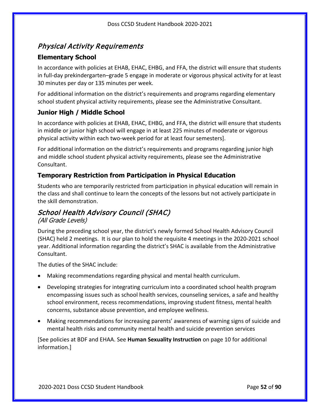### Physical Activity Requirements

#### **Elementary School**

In accordance with policies at EHAB, EHAC, EHBG, and FFA, the district will ensure that students in full-day prekindergarten–grade 5 engage in moderate or vigorous physical activity for at least 30 minutes per day or 135 minutes per week.

For additional information on the district's requirements and programs regarding elementary school student physical activity requirements, please see the Administrative Consultant.

### **Junior High / Middle School**

In accordance with policies at EHAB, EHAC, EHBG, and FFA, the district will ensure that students in middle or junior high school will engage in at least 225 minutes of moderate or vigorous physical activity within each two-week period for at least four semesters].

For additional information on the district's requirements and programs regarding junior high and middle school student physical activity requirements, please see the Administrative Consultant.

#### **Temporary Restriction from Participation in Physical Education**

Students who are temporarily restricted from participation in physical education will remain in the class and shall continue to learn the concepts of the lessons but not actively participate in the skill demonstration.

### <span id="page-51-0"></span>School Health Advisory Council (SHAC)

#### (All Grade Levels)

During the preceding school year, the district's newly formed School Health Advisory Council (SHAC) held 2 meetings. It is our plan to hold the requisite 4 meetings in the 2020-2021 school year. Additional information regarding the district's SHAC is available from the Administrative Consultant.

The duties of the SHAC include:

- Making recommendations regarding physical and mental health curriculum.
- Developing strategies for integrating curriculum into a coordinated school health program encompassing issues such as school health services, counseling services, a safe and healthy school environment, recess recommendations, improving student fitness, mental health concerns, substance abuse prevention, and employee wellness.
- Making recommendations for increasing parents' awareness of warning signs of suicide and mental health risks and community mental health and suicide prevention services

[See policies at BDF and EHAA. See **Human Sexuality Instruction** on pag[e 10](#page-9-0) for additional information.]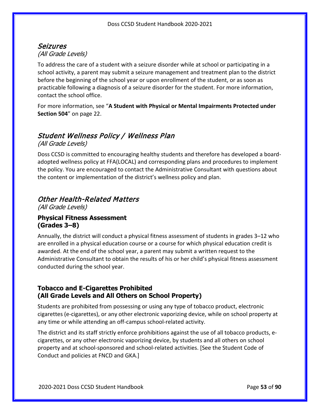### Seizures (All Grade Levels)

To address the care of a student with a seizure disorder while at school or participating in a school activity, a parent may submit a seizure management and treatment plan to the district before the beginning of the school year or upon enrollment of the student, or as soon as practicable following a diagnosis of a seizure disorder for the student. For more information, contact the school office.

For more information, see "**A Student with Physical or Mental Impairments Protected under Section 504**" on page [22.](#page-21-0)

# Student Wellness Policy / Wellness Plan

(All Grade Levels)

Doss CCSD is committed to encouraging healthy students and therefore has developed a boardadopted wellness policy at FFA(LOCAL) and corresponding plans and procedures to implement the policy. You are encouraged to contact the Administrative Consultant with questions about the content or implementation of the district's wellness policy and plan.

### Other Health-Related Matters

(All Grade Levels)

#### **Physical Fitness Assessment (Grades 3–8)**

Annually, the district will conduct a physical fitness assessment of students in grades 3–12 who are enrolled in a physical education course or a course for which physical education credit is awarded. At the end of the school year, a parent may submit a written request to the Administrative Consultant to obtain the results of his or her child's physical fitness assessment conducted during the school year.

#### **Tobacco and E-Cigarettes Prohibited (All Grade Levels and All Others on School Property)**

Students are prohibited from possessing or using any type of tobacco product, electronic cigarettes (e-cigarettes), or any other electronic vaporizing device, while on school property at any time or while attending an off-campus school-related activity.

The district and its staff strictly enforce prohibitions against the use of all tobacco products, ecigarettes, or any other electronic vaporizing device, by students and all others on school property and at school-sponsored and school-related activities. [See the Student Code of Conduct and policies at FNCD and GKA.]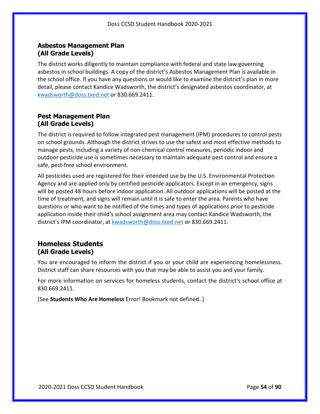#### **Asbestos Management Plan (All Grade Levels)**

The district works diligently to maintain compliance with federal and state law governing asbestos in school buildings. A copy of the district's Asbestos Management Plan is available in the school office. If you have any questions or would like to examine the district's plan in more detail, please contact Kandice Wadsworth, the district's designated asbestos coordinator, at [kwadsworth@doss.txed.net](mailto:kwadsworth@doss.txed.net) or 830.669.2411.

#### **Pest Management Plan (All Grade Levels)**

The district is required to follow integrated pest management (IPM) procedures to control pests on school grounds. Although the district strives to use the safest and most effective methods to manage pests, including a variety of non-chemical control measures, periodic indoor and outdoor pesticide use is sometimes necessary to maintain adequate pest control and ensure a safe, pest-free school environment.

All pesticides used are registered for their intended use by the U.S. Environmental Protection Agency and are applied only by certified pesticide applicators. Except in an emergency, signs will be posted 48 hours before indoor application. All outdoor applications will be posted at the time of treatment, and signs will remain until it is safe to enter the area. Parents who have questions or who want to be notified of the times and types of applications prior to pesticide application inside their child's school assignment area may contact Kandice Wadsworth, the district's IPM coordinator, at [kwadsworth@doss.txed.net](mailto:kwadsworth@doss.txed.net) or 830.669.2411.

### **Homeless Students (All Grade Levels)**

You are encouraged to inform the district if you or your child are experiencing homelessness. District staff can share resources with you that may be able to assist you and your family.

For more information on services for homeless students, contact the district's school office at 830.669.2411.

[See **Students Who Are Homeless** Error! Bookmark not defined..]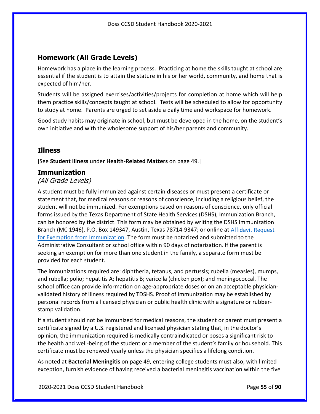### **Homework (All Grade Levels)**

Homework has a place in the learning process. Practicing at home the skills taught at school are essential if the student is to attain the stature in his or her world, community, and home that is expected of him/her.

Students will be assigned exercises/activities/projects for completion at home which will help them practice skills/concepts taught at school. Tests will be scheduled to allow for opportunity to study at home. Parents are urged to set aside a daily time and workspace for homework.

Good study habits may originate in school, but must be developed in the home, on the student's own initiative and with the wholesome support of his/her parents and community.

#### **Illness**

[See **Student Illness** under **Health-Related Matters** on page [49.](#page-48-0)]

#### <span id="page-54-0"></span>**Immunization**

#### (All Grade Levels)

A student must be fully immunized against certain diseases or must present a certificate or statement that, for medical reasons or reasons of conscience, including a religious belief, the student will not be immunized. For exemptions based on reasons of conscience, only official forms issued by the Texas Department of State Health Services (DSHS), Immunization Branch, can be honored by the district. This form may be obtained by writing the DSHS Immunization Branch (MC 1946), P.O. Box 149347, Austin, Texas 78714-9347; or online at [Affidavit Request](https://corequest.dshs.texas.gov/)  [for Exemption from Immunization.](https://corequest.dshs.texas.gov/) The form must be notarized and submitted to the Administrative Consultant or school office within 90 days of notarization. If the parent is seeking an exemption for more than one student in the family, a separate form must be provided for each student.

The immunizations required are: diphtheria, tetanus, and pertussis; rubella (measles), mumps, and rubella; polio; hepatitis A; hepatitis B; varicella (chicken pox); and meningococcal. The school office can provide information on age-appropriate doses or on an acceptable physicianvalidated history of illness required by TDSHS. Proof of immunization may be established by personal records from a licensed physician or public health clinic with a signature or rubberstamp validation.

If a student should not be immunized for medical reasons, the student or parent must present a certificate signed by a U.S. registered and licensed physician stating that, in the doctor's opinion, the immunization required is medically contraindicated or poses a significant risk to the health and well-being of the student or a member of the student's family or household. This certificate must be renewed yearly unless the physician specifies a lifelong condition.

As noted at **Bacterial Meningitis** on page [49,](#page-48-1) entering college students must also, with limited exception, furnish evidence of having received a bacterial meningitis vaccination within the five

2020-2021 Doss CCSD Student Handbook Page **55** of **90**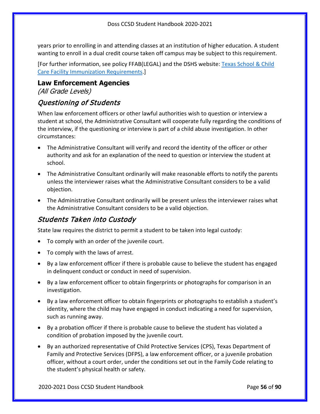years prior to enrolling in and attending classes at an institution of higher education. A student wanting to enroll in a dual credit course taken off campus may be subject to this requirement.

[For further information, see policy FFAB(LEGAL) and the DSHS website: [Texas School & Child](http://www.dshs.state.tx.us/immunize/school/default.shtm)  [Care Facility Immunization Requirements.](http://www.dshs.state.tx.us/immunize/school/default.shtm)]

# **Law Enforcement Agencies**

(All Grade Levels)

### Questioning of Students

When law enforcement officers or other lawful authorities wish to question or interview a student at school, the Administrative Consultant will cooperate fully regarding the conditions of the interview, if the questioning or interview is part of a child abuse investigation. In other circumstances:

- The Administrative Consultant will verify and record the identity of the officer or other authority and ask for an explanation of the need to question or interview the student at school.
- The Administrative Consultant ordinarily will make reasonable efforts to notify the parents unless the interviewer raises what the Administrative Consultant considers to be a valid objection.
- The Administrative Consultant ordinarily will be present unless the interviewer raises what the Administrative Consultant considers to be a valid objection.

### Students Taken into Custody

State law requires the district to permit a student to be taken into legal custody:

- To comply with an order of the juvenile court.
- To comply with the laws of arrest.
- By a law enforcement officer if there is probable cause to believe the student has engaged in delinquent conduct or conduct in need of supervision.
- By a law enforcement officer to obtain fingerprints or photographs for comparison in an investigation.
- By a law enforcement officer to obtain fingerprints or photographs to establish a student's identity, where the child may have engaged in conduct indicating a need for supervision, such as running away.
- By a probation officer if there is probable cause to believe the student has violated a condition of probation imposed by the juvenile court.
- By an authorized representative of Child Protective Services (CPS), Texas Department of Family and Protective Services (DFPS), a law enforcement officer, or a juvenile probation officer, without a court order, under the conditions set out in the Family Code relating to the student's physical health or safety.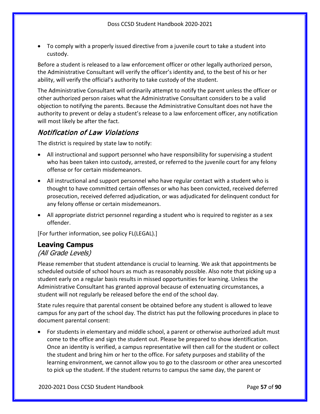• To comply with a properly issued directive from a juvenile court to take a student into custody.

Before a student is released to a law enforcement officer or other legally authorized person, the Administrative Consultant will verify the officer's identity and, to the best of his or her ability, will verify the official's authority to take custody of the student.

The Administrative Consultant will ordinarily attempt to notify the parent unless the officer or other authorized person raises what the Administrative Consultant considers to be a valid objection to notifying the parents. Because the Administrative Consultant does not have the authority to prevent or delay a student's release to a law enforcement officer, any notification will most likely be after the fact.

### Notification of Law Violations

The district is required by state law to notify:

- All instructional and support personnel who have responsibility for supervising a student who has been taken into custody, arrested, or referred to the juvenile court for any felony offense or for certain misdemeanors.
- All instructional and support personnel who have regular contact with a student who is thought to have committed certain offenses or who has been convicted, received deferred prosecution, received deferred adjudication, or was adjudicated for delinquent conduct for any felony offense or certain misdemeanors.
- All appropriate district personnel regarding a student who is required to register as a sex offender.

[For further information, see policy FL(LEGAL).]

### <span id="page-56-0"></span>**Leaving Campus**

#### (All Grade Levels)

Please remember that student attendance is crucial to learning. We ask that appointments be scheduled outside of school hours as much as reasonably possible. Also note that picking up a student early on a regular basis results in missed opportunities for learning. Unless the Administrative Consultant has granted approval because of extenuating circumstances, a student will not regularly be released before the end of the school day.

State rules require that parental consent be obtained before any student is allowed to leave campus for any part of the school day. The district has put the following procedures in place to document parental consent:

• For students in elementary and middle school, a parent or otherwise authorized adult must come to the office and sign the student out. Please be prepared to show identification. Once an identity is verified, a campus representative will then call for the student or collect the student and bring him or her to the office. For safety purposes and stability of the learning environment, we cannot allow you to go to the classroom or other area unescorted to pick up the student. If the student returns to campus the same day, the parent or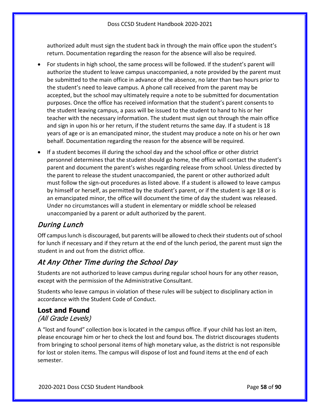authorized adult must sign the student back in through the main office upon the student's return. Documentation regarding the reason for the absence will also be required.

- For students in high school, the same process will be followed. If the student's parent will authorize the student to leave campus unaccompanied, a note provided by the parent must be submitted to the main office in advance of the absence, no later than two hours prior to the student's need to leave campus. A phone call received from the parent may be accepted, but the school may ultimately require a note to be submitted for documentation purposes. Once the office has received information that the student's parent consents to the student leaving campus, a pass will be issued to the student to hand to his or her teacher with the necessary information. The student must sign out through the main office and sign in upon his or her return, if the student returns the same day. If a student is 18 years of age or is an emancipated minor, the student may produce a note on his or her own behalf. Documentation regarding the reason for the absence will be required.
- If a student becomes ill during the school day and the school office or other district personnel determines that the student should go home, the office will contact the student's parent and document the parent's wishes regarding release from school. Unless directed by the parent to release the student unaccompanied, the parent or other authorized adult must follow the sign-out procedures as listed above. If a student is allowed to leave campus by himself or herself, as permitted by the student's parent, or if the student is age 18 or is an emancipated minor, the office will document the time of day the student was released. Under no circumstances will a student in elementary or middle school be released unaccompanied by a parent or adult authorized by the parent.

### During Lunch

Off campus lunch is discouraged, but parents will be allowed to check their students out of school for lunch if necessary and if they return at the end of the lunch period, the parent must sign the student in and out from the district office.

### At Any Other Time during the School Day

Students are not authorized to leave campus during regular school hours for any other reason, except with the permission of the Administrative Consultant.

Students who leave campus in violation of these rules will be subject to disciplinary action in accordance with the Student Code of Conduct.

### **Lost and Found**

#### (All Grade Levels)

A "lost and found" collection box is located in the campus office. If your child has lost an item, please encourage him or her to check the lost and found box. The district discourages students from bringing to school personal items of high monetary value, as the district is not responsible for lost or stolen items. The campus will dispose of lost and found items at the end of each semester.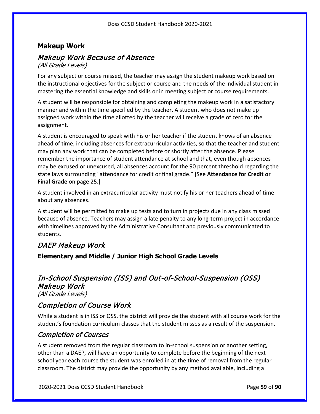### **Makeup Work**

# Makeup Work Because of Absence

(All Grade Levels)

For any subject or course missed, the teacher may assign the student makeup work based on the instructional objectives for the subject or course and the needs of the individual student in mastering the essential knowledge and skills or in meeting subject or course requirements.

A student will be responsible for obtaining and completing the makeup work in a satisfactory manner and within the time specified by the teacher. A student who does not make up assigned work within the time allotted by the teacher will receive a grade of zero for the assignment.

A student is encouraged to speak with his or her teacher if the student knows of an absence ahead of time, including absences for extracurricular activities, so that the teacher and student may plan any work that can be completed before or shortly after the absence. Please remember the importance of student attendance at school and that, even though absences may be excused or unexcused, all absences account for the 90 percent threshold regarding the state laws surrounding "attendance for credit or final grade." [See **Attendance for Credit or Final Grade** on page [25.](#page-24-0)]

A student involved in an extracurricular activity must notify his or her teachers ahead of time about any absences.

A student will be permitted to make up tests and to turn in projects due in any class missed because of absence. Teachers may assign a late penalty to any long-term project in accordance with timelines approved by the Administrative Consultant and previously communicated to students.

### DAEP Makeup Work

**Elementary and Middle / Junior High School Grade Levels**

#### In-School Suspension (ISS) and Out-of-School-Suspension (OSS) Makeup Work (All Grade Levels)

### Completion of Course Work

While a student is in ISS or OSS, the district will provide the student with all course work for the student's foundation curriculum classes that the student misses as a result of the suspension.

#### Completion of Courses

A student removed from the regular classroom to in-school suspension or another setting, other than a DAEP, will have an opportunity to complete before the beginning of the next school year each course the student was enrolled in at the time of removal from the regular classroom. The district may provide the opportunity by any method available, including a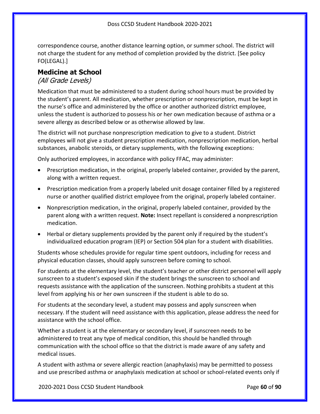correspondence course, another distance learning option, or summer school. The district will not charge the student for any method of completion provided by the district. [See policy FO(LEGAL).]

#### **Medicine at School**

#### (All Grade Levels)

Medication that must be administered to a student during school hours must be provided by the student's parent. All medication, whether prescription or nonprescription, must be kept in the nurse's office and administered by the office or another authorized district employee, unless the student is authorized to possess his or her own medication because of asthma or a severe allergy as described below or as otherwise allowed by law.

The district will not purchase nonprescription medication to give to a student. District employees will not give a student prescription medication, nonprescription medication, herbal substances, anabolic steroids, or dietary supplements, with the following exceptions:

Only authorized employees, in accordance with policy FFAC, may administer:

- Prescription medication, in the original, properly labeled container, provided by the parent, along with a written request.
- Prescription medication from a properly labeled unit dosage container filled by a registered nurse or another qualified district employee from the original, properly labeled container.
- Nonprescription medication, in the original, properly labeled container, provided by the parent along with a written request. **Note:** Insect repellant is considered a nonprescription medication.
- Herbal or dietary supplements provided by the parent only if required by the student's individualized education program (IEP) or Section 504 plan for a student with disabilities.

Students whose schedules provide for regular time spent outdoors, including for recess and physical education classes, should apply sunscreen before coming to school.

For students at the elementary level, the student's teacher or other district personnel will apply sunscreen to a student's exposed skin if the student brings the sunscreen to school and requests assistance with the application of the sunscreen. Nothing prohibits a student at this level from applying his or her own sunscreen if the student is able to do so.

For students at the secondary level, a student may possess and apply sunscreen when necessary. If the student will need assistance with this application, please address the need for assistance with the school office.

Whether a student is at the elementary or secondary level, if sunscreen needs to be administered to treat any type of medical condition, this should be handled through communication with the school office so that the district is made aware of any safety and medical issues.

A student with asthma or severe allergic reaction (anaphylaxis) may be permitted to possess and use prescribed asthma or anaphylaxis medication at school or school-related events only if

2020-2021 Doss CCSD Student Handbook Page **60** of **90**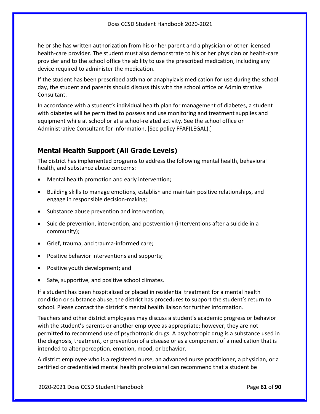he or she has written authorization from his or her parent and a physician or other licensed health-care provider. The student must also demonstrate to his or her physician or health-care provider and to the school office the ability to use the prescribed medication, including any device required to administer the medication.

If the student has been prescribed asthma or anaphylaxis medication for use during the school day, the student and parents should discuss this with the school office or Administrative Consultant.

In accordance with a student's individual health plan for management of diabetes, a student with diabetes will be permitted to possess and use monitoring and treatment supplies and equipment while at school or at a school-related activity. See the school office or Administrative Consultant for information. [See policy FFAF(LEGAL).]

### **Mental Health Support (All Grade Levels)**

The district has implemented programs to address the following mental health, behavioral health, and substance abuse concerns:

- Mental health promotion and early intervention;
- Building skills to manage emotions, establish and maintain positive relationships, and engage in responsible decision-making;
- Substance abuse prevention and intervention;
- Suicide prevention, intervention, and postvention (interventions after a suicide in a community);
- Grief, trauma, and trauma-informed care;
- Positive behavior interventions and supports;
- Positive youth development; and
- Safe, supportive, and positive school climates.

If a student has been hospitalized or placed in residential treatment for a mental health condition or substance abuse, the district has procedures to support the student's return to school. Please contact the district's mental health liaison for further information.

Teachers and other district employees may discuss a student's academic progress or behavior with the student's parents or another employee as appropriate; however, they are not permitted to recommend use of psychotropic drugs. A psychotropic drug is a substance used in the diagnosis, treatment, or prevention of a disease or as a component of a medication that is intended to alter perception, emotion, mood, or behavior.

A district employee who is a registered nurse, an advanced nurse practitioner, a physician, or a certified or credentialed mental health professional can recommend that a student be

2020-2021 Doss CCSD Student Handbook Page **61** of **90**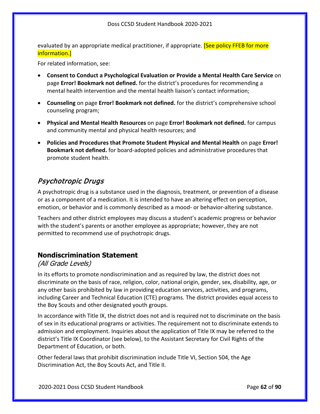evaluated by an appropriate medical practitioner, if appropriate. **[See policy FFEB for more** information.]

For related information, see:

- **Consent to Conduct a Psychological Evaluation or Provide a Mental Health Care Service** on page **Error! Bookmark not defined.** for the district's procedures for recommending a mental health intervention and the mental health liaison's contact information;
- **Counseling** on page **Error! Bookmark not defined.** for the district's comprehensive school counseling program;
- **Physical and Mental Health Resources** on page **Error! Bookmark not defined.** for campus and community mental and physical health resources; and
- **Policies and Procedures that Promote Student Physical and Mental Health** on page **Error! Bookmark not defined.** for board-adopted policies and administrative procedures that promote student health.

### Psychotropic Drugs

A psychotropic drug is a substance used in the diagnosis, treatment, or prevention of a disease or as a component of a medication. It is intended to have an altering effect on perception, emotion, or behavior and is commonly described as a mood- or behavior-altering substance.

Teachers and other district employees may discuss a student's academic progress or behavior with the student's parents or another employee as appropriate; however, they are not permitted to recommend use of psychotropic drugs.

#### **Nondiscrimination Statement**

#### (All Grade Levels)

In its efforts to promote nondiscrimination and as required by law, the district does not discriminate on the basis of race, religion, color, national origin, gender, sex, disability, age, or any other basis prohibited by law in providing education services, activities, and programs, including Career and Technical Education (CTE) programs. The district provides equal access to the Boy Scouts and other designated youth groups.

In accordance with Title IX, the district does not and is required not to discriminate on the basis of sex in its educational programs or activities. The requirement not to discriminate extends to admission and employment. Inquiries about the application of Title IX may be referred to the district's Title IX Coordinator (see below), to the Assistant Secretary for Civil Rights of the Department of Education, or both.

Other federal laws that prohibit discrimination include Title VI, Section 504, the Age Discrimination Act, the Boy Scouts Act, and Title II.

2020-2021 Doss CCSD Student Handbook Page **62** of **90**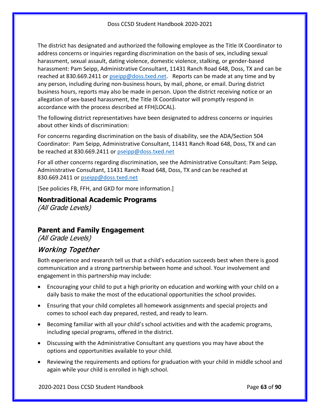The district has designated and authorized the following employee as the Title IX Coordinator to address concerns or inquiries regarding discrimination on the basis of sex, including sexual harassment, sexual assault, dating violence, domestic violence, stalking, or gender-based harassment: Pam Seipp, Administrative Consultant, 11431 Ranch Road 648, Doss, TX and can be reached at 830.669.2411 or [pseipp@doss.txed.net.](mailto:pseipp@doss.txed.net) Reports can be made at any time and by any person, including during non-business hours, by mail, phone, or email. During district business hours, reports may also be made in person. Upon the district receiving notice or an allegation of sex-based harassment, the Title IX Coordinator will promptly respond in accordance with the process described at FFH(LOCAL).

The following district representatives have been designated to address concerns or inquiries about other kinds of discrimination:

For concerns regarding discrimination on the basis of disability, see the ADA/Section 504 Coordinator: Pam Seipp, Administrative Consultant, 11431 Ranch Road 648, Doss, TX and can be reached at 830.669.2411 or [pseipp@doss.txed.net](mailto:pseipp@doss.txed.net)

For all other concerns regarding discrimination, see the Administrative Consultant: Pam Seipp, Administrative Consultant, 11431 Ranch Road 648, Doss, TX and can be reached at 830.669.2411 or [pseipp@doss.txed.net](mailto:pseipp@doss.txed.net)

[See policies FB, FFH, and GKD for more information.]

**Nontraditional Academic Programs** (All Grade Levels)

### **Parent and Family Engagement**

(All Grade Levels)

### <span id="page-62-0"></span>Working Together

Both experience and research tell us that a child's education succeeds best when there is good communication and a strong partnership between home and school. Your involvement and engagement in this partnership may include:

- Encouraging your child to put a high priority on education and working with your child on a daily basis to make the most of the educational opportunities the school provides.
- Ensuring that your child completes all homework assignments and special projects and comes to school each day prepared, rested, and ready to learn.
- Becoming familiar with all your child's school activities and with the academic programs, including special programs, offered in the district.
- Discussing with the Administrative Consultant any questions you may have about the options and opportunities available to your child.
- Reviewing the requirements and options for graduation with your child in middle school and again while your child is enrolled in high school.

2020-2021 Doss CCSD Student Handbook Page **63** of **90**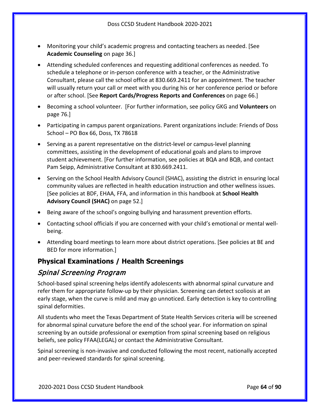- Monitoring your child's academic progress and contacting teachers as needed. [See **Academic Counseling** on page [36.](#page-35-0)]
- Attending scheduled conferences and requesting additional conferences as needed. To schedule a telephone or in-person conference with a teacher, or the Administrative Consultant, please call the school office at 830.669.2411 for an appointment. The teacher will usually return your call or meet with you during his or her conference period or before or after school. [See **Report Cards/Progress Reports and Conferences** on page [66.](#page-65-0)]
- Becoming a school volunteer. [For further information, see policy GKG and **Volunteers** on page [76.](#page-75-0)]
- Participating in campus parent organizations. Parent organizations include: Friends of Doss School – PO Box 66, Doss, TX 78618
- Serving as a parent representative on the district-level or campus-level planning committees, assisting in the development of educational goals and plans to improve student achievement. [For further information, see policies at BQA and BQB, and contact Pam Seipp, Administrative Consultant at 830.669.2411.
- Serving on the School Health Advisory Council (SHAC), assisting the district in ensuring local community values are reflected in health education instruction and other wellness issues. [See policies at BDF, EHAA, FFA, and information in this handbook at **School Health Advisory Council (SHAC)** on page [52.](#page-51-0)]
- Being aware of the school's ongoing bullying and harassment prevention efforts.
- Contacting school officials if you are concerned with your child's emotional or mental wellbeing.
- Attending board meetings to learn more about district operations. [See policies at BE and BED for more information.]

### **Physical Examinations / Health Screenings**

### Spinal Screening Program

School-based spinal screening helps identify adolescents with abnormal spinal curvature and refer them for appropriate follow-up by their physician. Screening can detect scoliosis at an early stage, when the curve is mild and may go unnoticed. Early detection is key to controlling spinal deformities.

All students who meet the Texas Department of State Health Services criteria will be screened for abnormal spinal curvature before the end of the school year. For information on spinal screening by an outside professional or exemption from spinal screening based on religious beliefs, see policy FFAA(LEGAL) or contact the Administrative Consultant.

Spinal screening is non-invasive and conducted following the most recent, nationally accepted and peer-reviewed standards for spinal screening.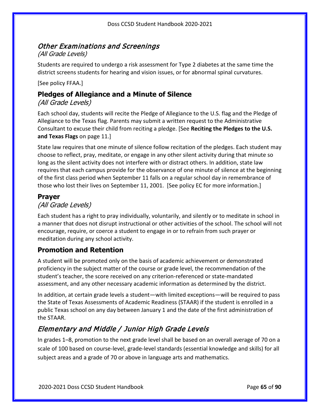# Other Examinations and Screenings

(All Grade Levels)

Students are required to undergo a risk assessment for Type 2 diabetes at the same time the district screens students for hearing and vision issues, or for abnormal spinal curvatures.

[See policy FFAA.]

### **Pledges of Allegiance and a Minute of Silence**

### (All Grade Levels)

Each school day, students will recite the Pledge of Allegiance to the U.S. flag and the Pledge of Allegiance to the Texas flag. Parents may submit a written request to the Administrative Consultant to excuse their child from reciting a pledge. [See **Reciting the Pledges to the U.S. and Texas Flags** on pag[e 11.](#page-10-0)]

State law requires that one minute of silence follow recitation of the pledges. Each student may choose to reflect, pray, meditate, or engage in any other silent activity during that minute so long as the silent activity does not interfere with or distract others. In addition, state law requires that each campus provide for the observance of one minute of silence at the beginning of the first class period when September 11 falls on a regular school day in remembrance of those who lost their lives on September 11, 2001. [See policy EC for more information.]

### **Prayer**

### (All Grade Levels)

Each student has a right to pray individually, voluntarily, and silently or to meditate in school in a manner that does not disrupt instructional or other activities of the school. The school will not encourage, require, or coerce a student to engage in or to refrain from such prayer or meditation during any school activity.

### <span id="page-64-0"></span>**Promotion and Retention**

A student will be promoted only on the basis of academic achievement or demonstrated proficiency in the subject matter of the course or grade level, the recommendation of the student's teacher, the score received on any criterion-referenced or state-mandated assessment, and any other necessary academic information as determined by the district.

In addition, at certain grade levels a student—with limited exceptions—will be required to pass the State of Texas Assessments of Academic Readiness (STAAR) if the student is enrolled in a public Texas school on any day between January 1 and the date of the first administration of the STAAR.

## Elementary and Middle / Junior High Grade Levels

In grades 1–8, promotion to the next grade level shall be based on an overall average of 70 on a scale of 100 based on course-level, grade-level standards (essential knowledge and skills) for all subject areas and a grade of 70 or above in language arts and mathematics.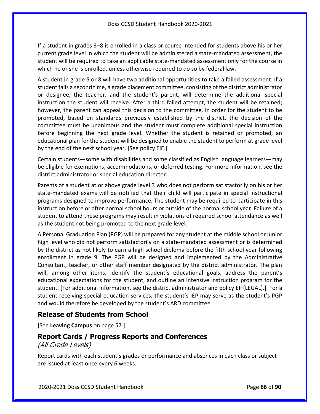If a student in grades 3–8 is enrolled in a class or course intended for students above his or her current grade level in which the student will be administered a state-mandated assessment, the student will be required to take an applicable state-mandated assessment only for the course in which he or she is enrolled, unless otherwise required to do so by federal law.

A student in grade 5 or 8 will have two additional opportunities to take a failed assessment. If a student fails a second time, a grade placement committee, consisting of the district administrator or designee, the teacher, and the student's parent, will determine the additional special instruction the student will receive. After a third failed attempt, the student will be retained; however, the parent can appeal this decision to the committee. In order for the student to be promoted, based on standards previously established by the district, the decision of the committee must be unanimous and the student must complete additional special instruction before beginning the next grade level. Whether the student is retained or promoted, an educational plan for the student will be designed to enable the student to perform at grade level by the end of the next school year. [See policy EIE.]

Certain students—some with disabilities and some classified as English language learners—may be eligible for exemptions, accommodations, or deferred testing. For more information, see the district administrator or special education director.

Parents of a student at or above grade level 3 who does not perform satisfactorily on his or her state-mandated exams will be notified that their child will participate in special instructional programs designed to improve performance. The student may be required to participate in this instruction before or after normal school hours or outside of the normal school year. Failure of a student to attend these programs may result in violations of required school attendance as well as the student not being promoted to the next grade level.

A Personal Graduation Plan (PGP) will be prepared for any student at the middle school or junior high level who did not perform satisfactorily on a state-mandated assessment or is determined by the district as not likely to earn a high school diploma before the fifth school year following enrollment in grade 9. The PGP will be designed and implemented by the Administrative Consultant, teacher, or other staff member designated by the district administrator. The plan will, among other items, identify the student's educational goals, address the parent's educational expectations for the student, and outline an intensive instruction program for the student. [For additional information, see the district administrator and policy EIF(LEGAL).] For a student receiving special education services, the student's IEP may serve as the student's PGP and would therefore be developed by the student's ARD committee.

### **Release of Students from School**

[See **Leaving Campus** on page [57.](#page-56-0)]

#### <span id="page-65-0"></span>**Report Cards / Progress Reports and Conferences**

#### (All Grade Levels)

Report cards with each student's grades or performance and absences in each class or subject are issued at least once every 6 weeks.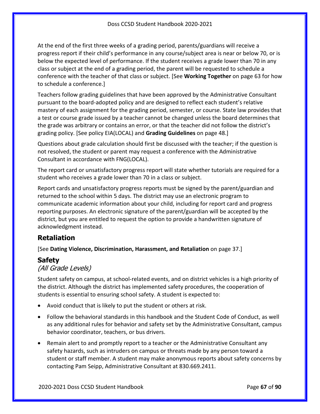At the end of the first three weeks of a grading period, parents/guardians will receive a progress report if their child's performance in any course/subject area is near or below 70, or is below the expected level of performance. If the student receives a grade lower than 70 in any class or subject at the end of a grading period, the parent will be requested to schedule a conference with the teacher of that class or subject. [See **Working Together** on page [63](#page-62-0) for how to schedule a conference.]

Teachers follow grading guidelines that have been approved by the Administrative Consultant pursuant to the board-adopted policy and are designed to reflect each student's relative mastery of each assignment for the grading period, semester, or course. State law provides that a test or course grade issued by a teacher cannot be changed unless the board determines that the grade was arbitrary or contains an error, or that the teacher did not follow the district's grading policy. [See policy EIA(LOCAL) and **Grading Guidelines** on page [48.](#page-47-0)]

Questions about grade calculation should first be discussed with the teacher; if the question is not resolved, the student or parent may request a conference with the Administrative Consultant in accordance with FNG(LOCAL).

The report card or unsatisfactory progress report will state whether tutorials are required for a student who receives a grade lower than 70 in a class or subject.

Report cards and unsatisfactory progress reports must be signed by the parent/guardian and returned to the school within 5 days. The district may use an electronic program to communicate academic information about your child, including for report card and progress reporting purposes. An electronic signature of the parent/guardian will be accepted by the district, but you are entitled to request the option to provide a handwritten signature of acknowledgment instead.

### **Retaliation**

[See **Dating Violence, Discrimination, Harassment, and Retaliation** on page [37.](#page-36-0)]

### **Safety**

#### (All Grade Levels)

Student safety on campus, at school-related events, and on district vehicles is a high priority of the district. Although the district has implemented safety procedures, the cooperation of students is essential to ensuring school safety. A student is expected to:

- Avoid conduct that is likely to put the student or others at risk.
- Follow the behavioral standards in this handbook and the Student Code of Conduct, as well as any additional rules for behavior and safety set by the Administrative Consultant, campus behavior coordinator, teachers, or bus drivers.
- Remain alert to and promptly report to a teacher or the Administrative Consultant any safety hazards, such as intruders on campus or threats made by any person toward a student or staff member. A student may make anonymous reports about safety concerns by contacting Pam Seipp, Administrative Consultant at 830.669.2411.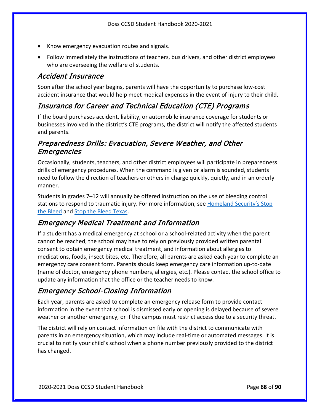- Know emergency evacuation routes and signals.
- Follow immediately the instructions of teachers, bus drivers, and other district employees who are overseeing the welfare of students.

### Accident Insurance

Soon after the school year begins, parents will have the opportunity to purchase low-cost accident insurance that would help meet medical expenses in the event of injury to their child.

### Insurance for Career and Technical Education (CTE) Programs

If the board purchases accident, liability, or automobile insurance coverage for students or businesses involved in the district's CTE programs, the district will notify the affected students and parents.

### Preparedness Drills: Evacuation, Severe Weather, and Other Emergencies

Occasionally, students, teachers, and other district employees will participate in preparedness drills of emergency procedures. When the command is given or alarm is sounded, students need to follow the direction of teachers or others in charge quickly, quietly, and in an orderly manner.

Students in grades 7–12 will annually be offered instruction on the use of bleeding control stations to respond to traumatic injury. For more information, see Homeland Security's Stop [the Bleed](https://www.dhs.gov/stopthebleed) and [Stop the Bleed Texas.](https://stopthebleedtx.org/)

### Emergency Medical Treatment and Information

If a student has a medical emergency at school or a school-related activity when the parent cannot be reached, the school may have to rely on previously provided written parental consent to obtain emergency medical treatment, and information about allergies to medications, foods, insect bites, etc. Therefore, all parents are asked each year to complete an emergency care consent form. Parents should keep emergency care information up-to-date (name of doctor, emergency phone numbers, allergies, etc.). Please contact the school office to update any information that the office or the teacher needs to know.

### Emergency School-Closing Information

Each year, parents are asked to complete an emergency release form to provide contact information in the event that school is dismissed early or opening is delayed because of severe weather or another emergency, or if the campus must restrict access due to a security threat.

The district will rely on contact information on file with the district to communicate with parents in an emergency situation, which may include real-time or automated messages. It is crucial to notify your child's school when a phone number previously provided to the district has changed.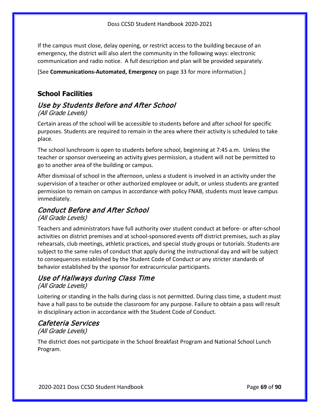If the campus must close, delay opening, or restrict access to the building because of an emergency, the district will also alert the community in the following ways: electronic communication and radio notice. A full description and plan will be provided separately.

[See **Communications-Automated, Emergency** on page [33](#page-32-0) for more information.]

### **School Facilities**

#### Use by Students Before and After School (All Grade Levels)

Certain areas of the school will be accessible to students before and after school for specific purposes. Students are required to remain in the area where their activity is scheduled to take place.

The school lunchroom is open to students before school, beginning at 7:45 a.m. Unless the teacher or sponsor overseeing an activity gives permission, a student will not be permitted to go to another area of the building or campus.

After dismissal of school in the afternoon, unless a student is involved in an activity under the supervision of a teacher or other authorized employee or adult, or unless students are granted permission to remain on campus in accordance with policy FNAB, students must leave campus immediately.

### Conduct Before and After School

(All Grade Levels)

Teachers and administrators have full authority over student conduct at before- or after-school activities on district premises and at school-sponsored events off district premises, such as play rehearsals, club meetings, athletic practices, and special study groups or tutorials. Students are subject to the same rules of conduct that apply during the instructional day and will be subject to consequences established by the Student Code of Conduct or any stricter standards of behavior established by the sponsor for extracurricular participants.

# Use of Hallways during Class Time

(All Grade Levels)

Loitering or standing in the halls during class is not permitted. During class time, a student must have a hall pass to be outside the classroom for any purpose. Failure to obtain a pass will result in disciplinary action in accordance with the Student Code of Conduct.

# Cafeteria Services

### (All Grade Levels)

The district does not participate in the School Breakfast Program and National School Lunch Program.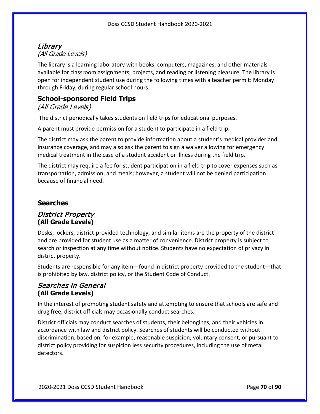### Library (All Grade Levels)

The library is a learning laboratory with books, computers, magazines, and other materials available for classroom assignments, projects, and reading or listening pleasure. The library is open for independent student use during the following times with a teacher permit: Monday through Friday, during regular school hours.

### **School-sponsored Field Trips**

(All Grade Levels)

The district periodically takes students on field trips for educational purposes.

A parent must provide permission for a student to participate in a field trip.

The district may ask the parent to provide information about a student's medical provider and insurance coverage, and may also ask the parent to sign a waiver allowing for emergency medical treatment in the case of a student accident or illness during the field trip.

<span id="page-69-0"></span>The district may require a fee for student participation in a field trip to cover expenses such as transportation, admission, and meals; however, a student will not be denied participation because of financial need.

### **Searches**

#### District Property **(All Grade Levels)**

Desks, lockers, district-provided technology, and similar items are the property of the district and are provided for student use as a matter of convenience. District property is subject to search or inspection at any time without notice. Students have no expectation of privacy in district property.

Students are responsible for any item—found in district property provided to the student—that is prohibited by law, district policy, or the Student Code of Conduct.

### Searches in General **(All Grade Levels)**

In the interest of promoting student safety and attempting to ensure that schools are safe and drug free, district officials may occasionally conduct searches.

District officials may conduct searches of students, their belongings, and their vehicles in accordance with law and district policy. Searches of students will be conducted without discrimination, based on, for example, reasonable suspicion, voluntary consent, or pursuant to district policy providing for suspicion less security procedures, including the use of metal detectors.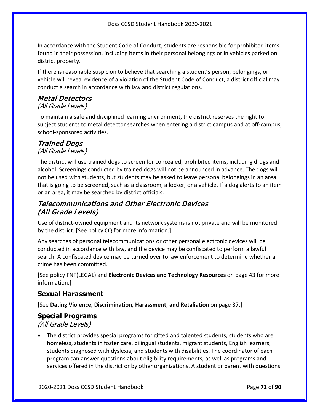In accordance with the Student Code of Conduct, students are responsible for prohibited items found in their possession, including items in their personal belongings or in vehicles parked on district property.

If there is reasonable suspicion to believe that searching a student's person, belongings, or vehicle will reveal evidence of a violation of the Student Code of Conduct, a district official may conduct a search in accordance with law and district regulations.

### Metal Detectors

#### (All Grade Levels)

To maintain a safe and disciplined learning environment, the district reserves the right to subject students to metal detector searches when entering a district campus and at off-campus, school-sponsored activities.

# Trained Dogs

(All Grade Levels)

The district will use trained dogs to screen for concealed, prohibited items, including drugs and alcohol. Screenings conducted by trained dogs will not be announced in advance. The dogs will not be used with students, but students may be asked to leave personal belongings in an area that is going to be screened, such as a classroom, a locker, or a vehicle. If a dog alerts to an item or an area, it may be searched by district officials.

### Telecommunications and Other Electronic Devices (All Grade Levels)

Use of district-owned equipment and its network systems is not private and will be monitored by the district. [See policy CQ for more information.]

Any searches of personal telecommunications or other personal electronic devices will be conducted in accordance with law, and the device may be confiscated to perform a lawful search. A confiscated device may be turned over to law enforcement to determine whether a crime has been committed.

[See policy FNF(LEGAL) and **Electronic Devices and Technology Resources** on page [43](#page-42-0) for more information.]

### **Sexual Harassment**

[See **Dating Violence, Discrimination, Harassment, and Retaliation** on page [37.](#page-36-0)]

### **Special Programs**

(All Grade Levels)

• The district provides special programs for gifted and talented students, students who are homeless, students in foster care, bilingual students, migrant students, English learners, students diagnosed with dyslexia, and students with disabilities. The coordinator of each program can answer questions about eligibility requirements, as well as programs and services offered in the district or by other organizations. A student or parent with questions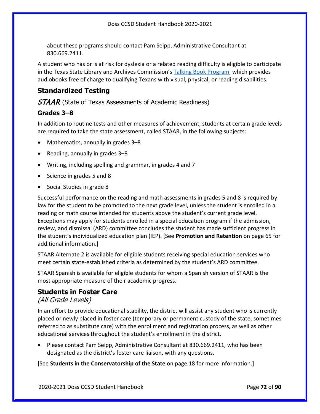about these programs should contact Pam Seipp, Administrative Consultant at 830.669.2411.

A student who has or is at risk for dyslexia or a related reading difficulty is eligible to participate in the Texas State Library and Archives Commission's [Talking Book Program,](https://www.tsl.texas.gov/tbp/index.html) which provides audiobooks free of charge to qualifying Texans with visual, physical, or reading disabilities.

### <span id="page-71-0"></span>**Standardized Testing**

**STAAR** (State of Texas Assessments of Academic Readiness)

#### **Grades 3–8**

In addition to routine tests and other measures of achievement, students at certain grade levels are required to take the state assessment, called STAAR, in the following subjects:

- Mathematics, annually in grades 3–8
- Reading, annually in grades 3–8
- Writing, including spelling and grammar, in grades 4 and 7
- Science in grades 5 and 8
- Social Studies in grade 8

Successful performance on the reading and math assessments in grades 5 and 8 is required by law for the student to be promoted to the next grade level, unless the student is enrolled in a reading or math course intended for students above the student's current grade level. Exceptions may apply for students enrolled in a special education program if the admission, review, and dismissal (ARD) committee concludes the student has made sufficient progress in the student's individualized education plan (IEP). [See **Promotion and Retention** on pag[e 65](#page-64-0) for additional information.]

STAAR Alternate 2 is available for eligible students receiving special education services who meet certain state-established criteria as determined by the student's ARD committee.

STAAR Spanish is available for eligible students for whom a Spanish version of STAAR is the most appropriate measure of their academic progress.

### **Students in Foster Care**

#### (All Grade Levels)

In an effort to provide educational stability, the district will assist any student who is currently placed or newly placed in foster care (temporary or permanent custody of the state, sometimes referred to as substitute care) with the enrollment and registration process, as well as other educational services throughout the student's enrollment in the district.

• Please contact Pam Seipp, Administrative Consultant at 830.669.2411, who has been designated as the district's foster care liaison, with any questions.

[See **Students in the Conservatorship of the State** on page [18](#page-17-0) for more information.]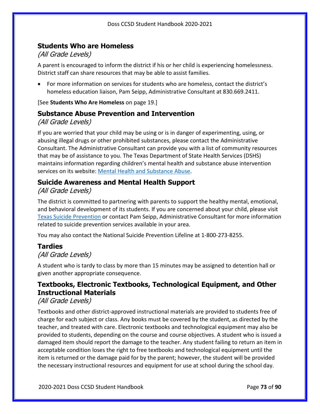### **Students Who are Homeless**

### (All Grade Levels)

A parent is encouraged to inform the district if his or her child is experiencing homelessness. District staff can share resources that may be able to assist families.

• For more information on services for students who are homeless, contact the district's homeless education liaison, Pam Seipp, Administrative Consultant at 830.669.2411.

[See **Students Who Are Homeless** on page [19.](#page-18-0)]

### **Substance Abuse Prevention and Intervention**

### (All Grade Levels)

If you are worried that your child may be using or is in danger of experimenting, using, or abusing illegal drugs or other prohibited substances, please contact the Administrative Consultant. The Administrative Consultant can provide you with a list of community resources that may be of assistance to you. The Texas Department of State Health Services (DSHS) maintains information regarding children's mental health and substance abuse intervention services on its website: [Mental Health and Substance Abuse.](https://www.dshs.texas.gov/transition/mhsa.aspx)

### **Suicide Awareness and Mental Health Support**

### (All Grade Levels)

The district is committed to partnering with parents to support the healthy mental, emotional, and behavioral development of its students. If you are concerned about your child, please visit [Texas Suicide Prevention](http://www.texassuicideprevention.org/) or contact Pam Seipp, Administrative Consultant for more information related to suicide prevention services available in your area.

You may also contact the National Suicide Prevention Lifeline at 1-800-273-8255.

## **Tardies**

### (All Grade Levels)

A student who is tardy to class by more than 15 minutes may be assigned to detention hall or given another appropriate consequence.

## **Textbooks, Electronic Textbooks, Technological Equipment, and Other Instructional Materials**

### (All Grade Levels)

Textbooks and other district-approved instructional materials are provided to students free of charge for each subject or class. Any books must be covered by the student, as directed by the teacher, and treated with care. Electronic textbooks and technological equipment may also be provided to students, depending on the course and course objectives. A student who is issued a damaged item should report the damage to the teacher. Any student failing to return an item in acceptable condition loses the right to free textbooks and technological equipment until the item is returned or the damage paid for by the parent; however, the student will be provided the necessary instructional resources and equipment for use at school during the school day.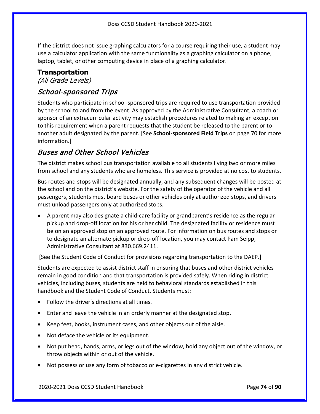If the district does not issue graphing calculators for a course requiring their use, a student may use a calculator application with the same functionality as a graphing calculator on a phone, laptop, tablet, or other computing device in place of a graphing calculator.

#### **Transportation**

(All Grade Levels)

## School-sponsored Trips

Students who participate in school-sponsored trips are required to use transportation provided by the school to and from the event. As approved by the Administrative Consultant, a coach or sponsor of an extracurricular activity may establish procedures related to making an exception to this requirement when a parent requests that the student be released to the parent or to another adult designated by the parent. [See **School-sponsored Field Trips** on page [70](#page-69-0) for more information.]

## Buses and Other School Vehicles

The district makes school bus transportation available to all students living two or more miles from school and any students who are homeless. This service is provided at no cost to students.

Bus routes and stops will be designated annually, and any subsequent changes will be posted at the school and on the district's website. For the safety of the operator of the vehicle and all passengers, students must board buses or other vehicles only at authorized stops, and drivers must unload passengers only at authorized stops.

• A parent may also designate a child-care facility or grandparent's residence as the regular pickup and drop-off location for his or her child. The designated facility or residence must be on an approved stop on an approved route. For information on bus routes and stops or to designate an alternate pickup or drop-off location, you may contact Pam Seipp, Administrative Consultant at 830.669.2411.

[See the Student Code of Conduct for provisions regarding transportation to the DAEP.]

Students are expected to assist district staff in ensuring that buses and other district vehicles remain in good condition and that transportation is provided safely. When riding in district vehicles, including buses, students are held to behavioral standards established in this handbook and the Student Code of Conduct. Students must:

- Follow the driver's directions at all times.
- Enter and leave the vehicle in an orderly manner at the designated stop.
- Keep feet, books, instrument cases, and other objects out of the aisle.
- Not deface the vehicle or its equipment.
- Not put head, hands, arms, or legs out of the window, hold any object out of the window, or throw objects within or out of the vehicle.
- Not possess or use any form of tobacco or e-cigarettes in any district vehicle.

2020-2021 Doss CCSD Student Handbook Page **74** of **90**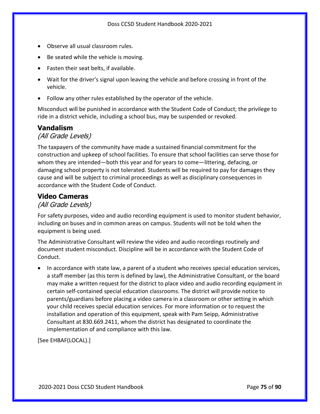- Observe all usual classroom rules.
- Be seated while the vehicle is moving.
- Fasten their seat belts, if available.
- Wait for the driver's signal upon leaving the vehicle and before crossing in front of the vehicle.
- Follow any other rules established by the operator of the vehicle.

Misconduct will be punished in accordance with the Student Code of Conduct; the privilege to ride in a district vehicle, including a school bus, may be suspended or revoked.

### **Vandalism**

#### (All Grade Levels)

The taxpayers of the community have made a sustained financial commitment for the construction and upkeep of school facilities. To ensure that school facilities can serve those for whom they are intended—both this year and for years to come—littering, defacing, or damaging school property is not tolerated. Students will be required to pay for damages they cause and will be subject to criminal proceedings as well as disciplinary consequences in accordance with the Student Code of Conduct.

#### **Video Cameras**

#### (All Grade Levels)

For safety purposes, video and audio recording equipment is used to monitor student behavior, including on buses and in common areas on campus. Students will not be told when the equipment is being used.

The Administrative Consultant will review the video and audio recordings routinely and document student misconduct. Discipline will be in accordance with the Student Code of Conduct.

• In accordance with state law, a parent of a student who receives special education services, a staff member (as this term is defined by law), the Administrative Consultant, or the board may make a written request for the district to place video and audio recording equipment in certain self-contained special education classrooms. The district will provide notice to parents/guardians before placing a video camera in a classroom or other setting in which your child receives special education services. For more information or to request the installation and operation of this equipment, speak with Pam Seipp, Administrative Consultant at 830.669.2411, whom the district has designated to coordinate the implementation of and compliance with this law.

[See EHBAF(LOCAL).]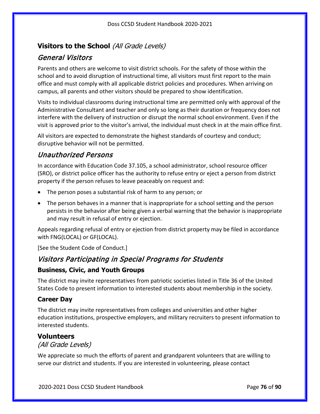## **Visitors to the School** (All Grade Levels)

## General Visitors

Parents and others are welcome to visit district schools. For the safety of those within the school and to avoid disruption of instructional time, all visitors must first report to the main office and must comply with all applicable district policies and procedures. When arriving on campus, all parents and other visitors should be prepared to show identification.

Visits to individual classrooms during instructional time are permitted only with approval of the Administrative Consultant and teacher and only so long as their duration or frequency does not interfere with the delivery of instruction or disrupt the normal school environment. Even if the visit is approved prior to the visitor's arrival, the individual must check in at the main office first.

All visitors are expected to demonstrate the highest standards of courtesy and conduct; disruptive behavior will not be permitted.

## Unauthorized Persons

In accordance with Education Code 37.105, a school administrator, school resource officer (SRO), or district police officer has the authority to refuse entry or eject a person from district property if the person refuses to leave peaceably on request and:

- The person poses a substantial risk of harm to any person; or
- The person behaves in a manner that is inappropriate for a school setting and the person persists in the behavior after being given a verbal warning that the behavior is inappropriate and may result in refusal of entry or ejection.

Appeals regarding refusal of entry or ejection from district property may be filed in accordance with FNG(LOCAL) or GF(LOCAL).

[See the Student Code of Conduct.]

## Visitors Participating in Special Programs for Students

### **Business, Civic, and Youth Groups**

The district may invite representatives from patriotic societies listed in Title 36 of the United States Code to present information to interested students about membership in the society.

### **Career Day**

The district may invite representatives from colleges and universities and other higher education institutions, prospective employers, and military recruiters to present information to interested students.

#### **Volunteers**

(All Grade Levels)

We appreciate so much the efforts of parent and grandparent volunteers that are willing to serve our district and students. If you are interested in volunteering, please contact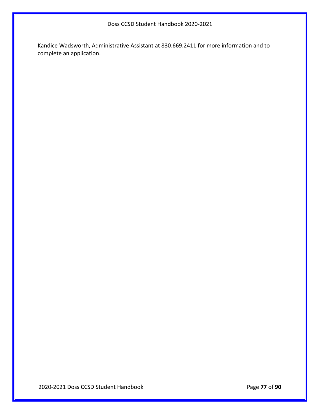Kandice Wadsworth, Administrative Assistant at 830.669.2411 for more information and to complete an application.

2020-2021 Doss CCSD Student Handbook Page **77** of **90**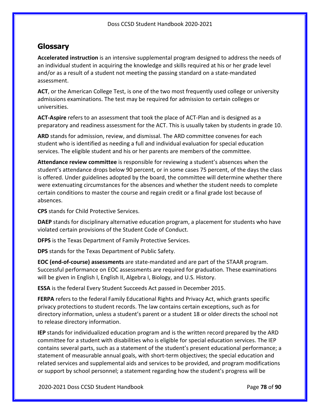## **Glossary**

**Accelerated instruction** is an intensive supplemental program designed to address the needs of an individual student in acquiring the knowledge and skills required at his or her grade level and/or as a result of a student not meeting the passing standard on a state-mandated assessment.

**ACT**, or the American College Test, is one of the two most frequently used college or university admissions examinations. The test may be required for admission to certain colleges or universities.

**ACT-Aspire** refers to an assessment that took the place of ACT-Plan and is designed as a preparatory and readiness assessment for the ACT. This is usually taken by students in grade 10.

**ARD** stands for admission, review, and dismissal. The ARD committee convenes for each student who is identified as needing a full and individual evaluation for special education services. The eligible student and his or her parents are members of the committee.

**Attendance review committee** is responsible for reviewing a student's absences when the student's attendance drops below 90 percent, or in some cases 75 percent, of the days the class is offered. Under guidelines adopted by the board, the committee will determine whether there were extenuating circumstances for the absences and whether the student needs to complete certain conditions to master the course and regain credit or a final grade lost because of absences.

**CPS** stands for Child Protective Services.

**DAEP** stands for disciplinary alternative education program, a placement for students who have violated certain provisions of the Student Code of Conduct.

**DFPS** is the Texas Department of Family Protective Services.

**DPS** stands for the Texas Department of Public Safety.

**EOC (end-of-course) assessments** are state-mandated and are part of the STAAR program. Successful performance on EOC assessments are required for graduation. These examinations will be given in English I, English II, Algebra I, Biology, and U.S. History.

**ESSA** is the federal Every Student Succeeds Act passed in December 2015.

**FERPA** refers to the federal Family Educational Rights and Privacy Act, which grants specific privacy protections to student records. The law contains certain exceptions, such as for directory information, unless a student's parent or a student 18 or older directs the school not to release directory information.

**IEP** stands for individualized education program and is the written record prepared by the ARD committee for a student with disabilities who is eligible for special education services. The IEP contains several parts, such as a statement of the student's present educational performance; a statement of measurable annual goals, with short-term objectives; the special education and related services and supplemental aids and services to be provided, and program modifications or support by school personnel; a statement regarding how the student's progress will be

2020-2021 Doss CCSD Student Handbook Page **78** of **90**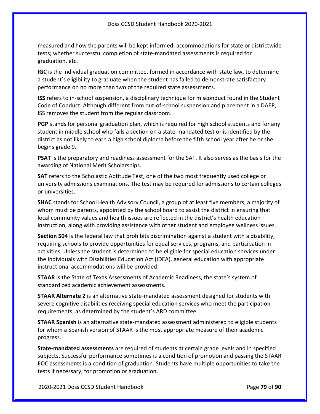measured and how the parents will be kept informed; accommodations for state or districtwide tests; whether successful completion of state-mandated assessments is required for graduation, etc.

**IGC** is the individual graduation committee, formed in accordance with state law, to determine a student's eligibility to graduate when the student has failed to demonstrate satisfactory performance on no more than two of the required state assessments.

**ISS** refers to in-school suspension, a disciplinary technique for misconduct found in the Student Code of Conduct. Although different from out-of-school suspension and placement in a DAEP, ISS removes the student from the regular classroom.

**PGP** stands for personal graduation plan, which is required for high school students and for any student in middle school who fails a section on a state-mandated test or is identified by the district as not likely to earn a high school diploma before the fifth school year after he or she begins grade 9.

**PSAT** is the preparatory and readiness assessment for the SAT. It also serves as the basis for the awarding of National Merit Scholarships.

**SAT** refers to the Scholastic Aptitude Test, one of the two most frequently used college or university admissions examinations. The test may be required for admissions to certain colleges or universities.

**SHAC** stands for School Health Advisory Council, a group of at least five members, a majority of whom must be parents, appointed by the school board to assist the district in ensuring that local community values and health issues are reflected in the district's health education instruction, along with providing assistance with other student and employee wellness issues.

**Section 504** is the federal law that prohibits discrimination against a student with a disability, requiring schools to provide opportunities for equal services, programs, and participation in activities. Unless the student is determined to be eligible for special education services under the Individuals with Disabilities Education Act (IDEA), general education with appropriate instructional accommodations will be provided.

**STAAR** is the State of Texas Assessments of Academic Readiness, the state's system of standardized academic achievement assessments.

**STAAR Alternate 2** is an alternative state-mandated assessment designed for students with severe cognitive disabilities receiving special education services who meet the participation requirements, as determined by the student's ARD committee.

**STAAR Spanish** is an alternative state-mandated assessment administered to eligible students for whom a Spanish version of STAAR is the most appropriate measure of their academic progress.

**State-mandated assessments** are required of students at certain grade levels and in specified subjects. Successful performance sometimes is a condition of promotion and passing the STAAR EOC assessments is a condition of graduation. Students have multiple opportunities to take the tests if necessary, for promotion or graduation.

2020-2021 Doss CCSD Student Handbook Page **79** of **90**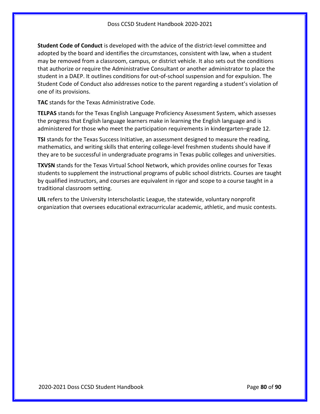**Student Code of Conduct** is developed with the advice of the district-level committee and adopted by the board and identifies the circumstances, consistent with law, when a student may be removed from a classroom, campus, or district vehicle. It also sets out the conditions that authorize or require the Administrative Consultant or another administrator to place the student in a DAEP. It outlines conditions for out-of-school suspension and for expulsion. The Student Code of Conduct also addresses notice to the parent regarding a student's violation of one of its provisions.

**TAC** stands for the Texas Administrative Code.

**TELPAS** stands for the Texas English Language Proficiency Assessment System, which assesses the progress that English language learners make in learning the English language and is administered for those who meet the participation requirements in kindergarten–grade 12.

**TSI** stands for the Texas Success Initiative, an assessment designed to measure the reading, mathematics, and writing skills that entering college-level freshmen students should have if they are to be successful in undergraduate programs in Texas public colleges and universities.

**TXVSN** stands for the Texas Virtual School Network, which provides online courses for Texas students to supplement the instructional programs of public school districts. Courses are taught by qualified instructors, and courses are equivalent in rigor and scope to a course taught in a traditional classroom setting.

**UIL** refers to the University Interscholastic League, the statewide, voluntary nonprofit organization that oversees educational extracurricular academic, athletic, and music contests.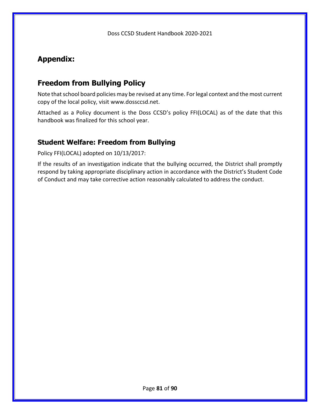# **Appendix:**

# **Freedom from Bullying Policy**

Note that school board policies may be revised at any time. For legal context and the most current copy of the local policy, visit www.dossccsd.net.

Attached as a Policy document is the Doss CCSD's policy FFI(LOCAL) as of the date that this handbook was finalized for this school year.

## **Student Welfare: Freedom from Bullying**

Policy FFI(LOCAL) adopted on 10/13/2017:

If the results of an investigation indicate that the bullying occurred, the District shall promptly respond by taking appropriate disciplinary action in accordance with the District's Student Code of Conduct and may take corrective action reasonably calculated to address the conduct.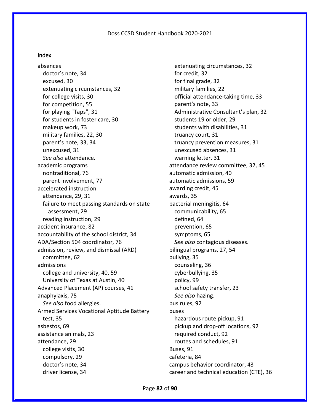#### Index

absences doctor's note, 34 excused, 30 extenuating circumstances, 32 for college visits, 30 for competition, 55 for playing "Taps", 31 for students in foster care, 30 makeup work, 73 military families, 22, 30 parent's note, 33, 34 unexcused, 31 *See also* attendance. academic programs nontraditional, 76 parent involvement, 77 accelerated instruction attendance, 29, 31 failure to meet passing standards on state assessment, 29 reading instruction, 29 accident insurance, 82 accountability of the school district, 34 ADA/Section 504 coordinator, 76 admission, review, and dismissal (ARD) committee, 62 admissions college and university, 40, 59 University of Texas at Austin, 40 Advanced Placement (AP) courses, 41 anaphylaxis, 75 *See also* food allergies. Armed Services Vocational Aptitude Battery test, 35 asbestos, 69 assistance animals, 23 attendance, 29 college visits, 30 compulsory, 29 doctor's note, 34 driver license, 34

extenuating circumstances, 32 for credit, 32 for final grade, 32 military families, 22 official attendance-taking time, 33 parent's note, 33 Administrative Consultant's plan, 32 students 19 or older, 29 students with disabilities, 31 truancy court, 31 truancy prevention measures, 31 unexcused absences, 31 warning letter, 31 attendance review committee, 32, 45 automatic admission, 40 automatic admissions, 59 awarding credit, 45 awards, 35 bacterial meningitis, 64 communicability, 65 defined, 64 prevention, 65 symptoms, 65 *See also* contagious diseases. bilingual programs, 27, 54 bullying, 35 counseling, 36 cyberbullying, 35 policy, 99 school safety transfer, 23 *See also* hazing. bus rules, 92 buses hazardous route pickup, 91 pickup and drop-off locations, 92 required conduct, 92 routes and schedules, 91 Buses, 91 cafeteria, 84 campus behavior coordinator, 43 career and technical education (CTE), 36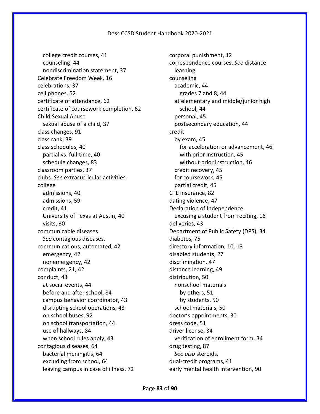college credit courses, 41 counseling, 44 nondiscrimination statement, 37 Celebrate Freedom Week, 16 celebrations, 37 cell phones, 52 certificate of attendance, 62 certificate of coursework completion, 62 Child Sexual Abuse sexual abuse of a child, 37 class changes, 91 class rank, 39 class schedules, 40 partial vs. full-time, 40 schedule changes, 83 classroom parties, 37 clubs. *See* extracurricular activities. college admissions, 40 admissions, 59 credit, 41 University of Texas at Austin, 40 visits, 30 communicable diseases *See* contagious diseases. communications, automated, 42 emergency, 42 nonemergency, 42 complaints, 21, 42 conduct, 43 at social events, 44 before and after school, 84 campus behavior coordinator, 43 disrupting school operations, 43 on school buses, 92 on school transportation, 44 use of hallways, 84 when school rules apply, 43 contagious diseases, 64 bacterial meningitis, 64 excluding from school, 64 leaving campus in case of illness, 72

corporal punishment, 12 correspondence courses. *See* distance learning. counseling academic, 44 grades 7 and 8, 44 at elementary and middle/junior high school, 44 personal, 45 postsecondary education, 44 credit by exam, 45 for acceleration or advancement, 46 with prior instruction, 45 without prior instruction, 46 credit recovery, 45 for coursework, 45 partial credit, 45 CTE insurance, 82 dating violence, 47 Declaration of Independence excusing a student from reciting, 16 deliveries, 43 Department of Public Safety (DPS), 34 diabetes, 75 directory information, 10, 13 disabled students, 27 discrimination, 47 distance learning, 49 distribution, 50 nonschool materials by others, 51 by students, 50 school materials, 50 doctor's appointments, 30 dress code, 51 driver license, 34 verification of enrollment form, 34 drug testing, 87 *See also* steroids. dual-credit programs, 41 early mental health intervention, 90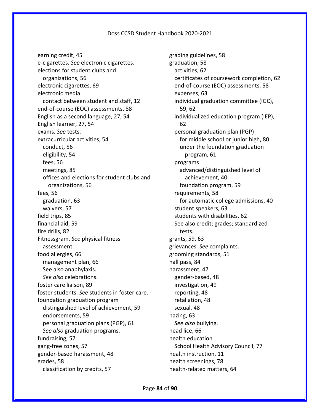earning credit, 45 e-cigarettes. *See* electronic cigarettes. elections for student clubs and organizations, 56 electronic cigarettes, 69 electronic media contact between student and staff, 12 end-of-course (EOC) assessments, 88 English as a second language, 27, 54 English learner, 27, 54 exams. *See* tests. extracurricular activities, 54 conduct, 56 eligibility, 54 fees, 56 meetings, 85 offices and elections for student clubs and organizations, 56 fees, 56 graduation, 63 waivers, 57 field trips, 85 financial aid, 59 fire drills, 82 Fitnessgram. *See* physical fitness assessment. food allergies, 66 management plan, 66 See also anaphylaxis. *See also* celebrations. foster care liaison, 89 foster students. *See* students in foster care. foundation graduation program distinguished level of achievement, 59 endorsements, 59 personal graduation plans (PGP), 61 *See also* graduation programs. fundraising, 57 gang-free zones, 57 gender-based harassment, 48 grades, 58 classification by credits, 57

grading guidelines, 58 graduation, 58 activities, 62 certificates of coursework completion, 62 end-of-course (EOC) assessments, 58 expenses, 63 individual graduation committee (IGC), 59, 62 individualized education program (IEP), 62 personal graduation plan (PGP) for middle school or junior high, 80 under the foundation graduation program, 61 programs advanced/distinguished level of achievement, 40 foundation program, 59 requirements, 58 for automatic college admissions, 40 student speakers, 63 students with disabilities, 62 See also credit; grades; standardized tests. grants, 59, 63 grievances. *See* complaints. grooming standards, 51 hall pass, 84 harassment, 47 gender-based, 48 investigation, 49 reporting, 48 retaliation, 48 sexual, 48 hazing, 63 *See also* bullying. head lice, 66 health education School Health Advisory Council, 77 health instruction, 11 health screenings, 78 health-related matters, 64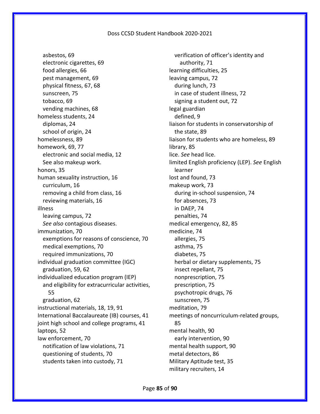asbestos, 69 electronic cigarettes, 69 food allergies, 66 pest management, 69 physical fitness, 67, 68 sunscreen, 75 tobacco, 69 vending machines, 68 homeless students, 24 diplomas, 24 school of origin, 24 homelessness, 89 homework, 69, 77 electronic and social media, 12 See also makeup work. honors, 35 human sexuality instruction, 16 curriculum, 16 removing a child from class, 16 reviewing materials, 16 illness leaving campus, 72 *See also* contagious diseases. immunization, 70 exemptions for reasons of conscience, 70 medical exemptions, 70 required immunizations, 70 individual graduation committee (IGC) graduation, 59, 62 individualized education program (IEP) and eligibility for extracurricular activities, 55 graduation, 62 instructional materials, 18, 19, 91 International Baccalaureate (IB) courses, 41 joint high school and college programs, 41 laptops, 52 law enforcement, 70 notification of law violations, 71 questioning of students, 70 students taken into custody, 71

verification of officer's identity and authority, 71 learning difficulties, 25 leaving campus, 72 during lunch, 73 in case of student illness, 72 signing a student out, 72 legal guardian defined, 9 liaison for students in conservatorship of the state, 89 liaison for students who are homeless, 89 library, 85 lice. *See* head lice. limited English proficiency (LEP). *See* English learner lost and found, 73 makeup work, 73 during in-school suspension, 74 for absences, 73 in DAEP, 74 penalties, 74 medical emergency, 82, 85 medicine, 74 allergies, 75 asthma, 75 diabetes, 75 herbal or dietary supplements, 75 insect repellant, 75 nonprescription, 75 prescription, 75 psychotropic drugs, 76 sunscreen, 75 meditation, 79 meetings of noncurriculum-related groups, 85 mental health, 90 early intervention, 90 mental health support, 90 metal detectors, 86 Military Aptitude test, 35 military recruiters, 14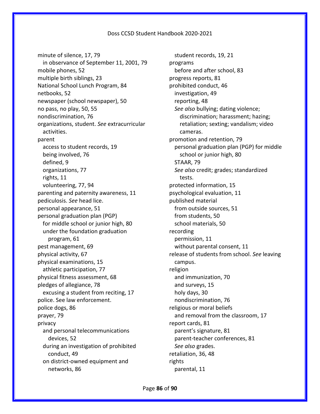minute of silence, 17, 79 in observance of September 11, 2001, 79 mobile phones, 52 multiple birth siblings, 23 National School Lunch Program, 84 netbooks, 52 newspaper (school newspaper), 50 no pass, no play, 50, 55 nondiscrimination, 76 organizations, student. *See* extracurricular activities. parent access to student records, 19 being involved, 76 defined, 9 organizations, 77 rights, 11 volunteering, 77, 94 parenting and paternity awareness, 11 pediculosis. *See* head lice. personal appearance, 51 personal graduation plan (PGP) for middle school or junior high, 80 under the foundation graduation program, 61 pest management, 69 physical activity, 67 physical examinations, 15 athletic participation, 77 physical fitness assessment, 68 pledges of allegiance, 78 excusing a student from reciting, 17 police. See law enforcement. police dogs, 86 prayer, 79 privacy and personal telecommunications devices, 52 during an investigation of prohibited conduct, 49 on district-owned equipment and networks, 86

student records, 19, 21 programs before and after school, 83 progress reports, 81 prohibited conduct, 46 investigation, 49 reporting, 48 *See also* bullying; dating violence; discrimination; harassment; hazing; retaliation; sexting; vandalism; video cameras. promotion and retention, 79 personal graduation plan (PGP) for middle school or junior high, 80 STAAR, 79 *See also* credit; grades; standardized tests. protected information, 15 psychological evaluation, 11 published material from outside sources, 51 from students, 50 school materials, 50 recording permission, 11 without parental consent, 11 release of students from school. *See* leaving campus. religion and immunization, 70 and surveys, 15 holy days, 30 nondiscrimination, 76 religious or moral beliefs and removal from the classroom, 17 report cards, 81 parent's signature, 81 parent-teacher conferences, 81 *See also* grades. retaliation, 36, 48 rights parental, 11

Page **86** of **90**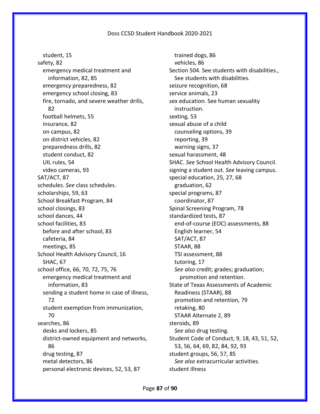student, 15 safety, 82 emergency medical treatment and information, 82, 85 emergency preparedness, 82 emergency school closing, 83 fire, tornado, and severe weather drills, 82 football helmets, 55 insurance, 82 on campus, 82 on district vehicles, 82 preparedness drills, 82 student conduct, 82 UIL rules, 54 video cameras, 93 SAT/ACT, 87 schedules. *See* class schedules. scholarships, 59, 63 School Breakfast Program, 84 school closings, 83 school dances, 44 school facilities, 83 before and after school, 83 cafeteria, 84 meetings, 85 School Health Advisory Council, 16 SHAC, 67 school office, 66, 70, 72, 75, 76 emergency medical treatment and information, 83 sending a student home in case of illness, 72 student exemption from immunization, 70 searches, 86 desks and lockers, 85 district-owned equipment and networks, 86 drug testing, 87 metal detectors, 86 personal electronic devices, 52, 53, 87

trained dogs, 86 vehicles, 86 Section 504. See students with disabilities., See students with disabilities. seizure recognition, 68 service animals, 23 sex education. See human sexuality instruction. sexting, 53 sexual abuse of a child counseling options, 39 reporting, 39 warning signs, 37 sexual harassment, 48 SHAC. *See* School Health Advisory Council. signing a student out. *See* leaving campus. special education, 25, 27, 68 graduation, 62 special programs, 87 coordinator, 87 Spinal Screening Program, 78 standardized tests, 87 end-of-course (EOC) assessments, 88 English learner, 54 SAT/ACT, 87 STAAR, 88 TSI assessment, 88 tutoring, 17 *See also* credit; grades; graduation; promotion and retention. State of Texas Assessments of Academic Readiness (STAAR), 88 promotion and retention, 79 retaking, 80 STAAR Alternate 2, 89 steroids, 89 *See also* drug testing. Student Code of Conduct, 9, 18, 43, 51, 52, 53, 56, 64, 69, 82, 84, 92, 93 student groups, 56, 57, 85 *See also* extracurricular activities. student illness

Page **87** of **90**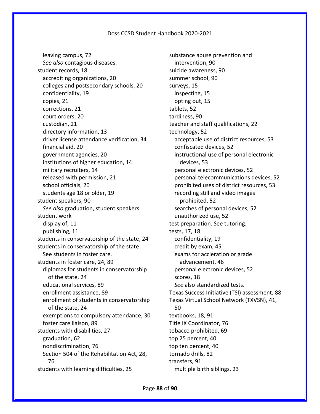leaving campus, 72 *See also* contagious diseases. student records, 18 accrediting organizations, 20 colleges and postsecondary schools, 20 confidentiality, 19 copies, 21 corrections, 21 court orders, 20 custodian, 21 directory information, 13 driver license attendance verification, 34 financial aid, 20 government agencies, 20 institutions of higher education, 14 military recruiters, 14 released with permission, 21 school officials, 20 students age 18 or older, 19 student speakers, 90 *See also* graduation, student speakers. student work display of, 11 publishing, 11 students in conservatorship of the state, 24 students in conservatorship of the state. See students in foster care. students in foster care, 24, 89 diplomas for students in conservatorship of the state, 24 educational services, 89 enrollment assistance, 89 enrollment of students in conservatorship of the state, 24 exemptions to compulsory attendance, 30 foster care liaison, 89 students with disabilities, 27 graduation, 62 nondiscrimination, 76 Section 504 of the Rehabilitation Act, 28, 76 students with learning difficulties, 25

substance abuse prevention and intervention, 90 suicide awareness, 90 summer school, 90 surveys, 15 inspecting, 15 opting out, 15 tablets, 52 tardiness, 90 teacher and staff qualifications, 22 technology, 52 acceptable use of district resources, 53 confiscated devices, 52 instructional use of personal electronic devices, 53 personal electronic devices, 52 personal telecommunications devices, 52 prohibited uses of district resources, 53 recording still and video images prohibited, 52 searches of personal devices, 52 unauthorized use, 52 test preparation. See tutoring. tests, 17, 18 confidentiality, 19 credit by exam, 45 exams for accleration or grade advancement, 46 personal electronic devices, 52 scores, 18 *See* also standardized tests. Texas Success Initiative (TSI) assessment, 88 Texas Virtual School Network (TXVSN), 41, 50 textbooks, 18, 91 Title IX Coordinator, 76 tobacco prohibited, 69 top 25 percent, 40 top ten percent, 40 tornado drills, 82 transfers, 91 multiple birth siblings, 23